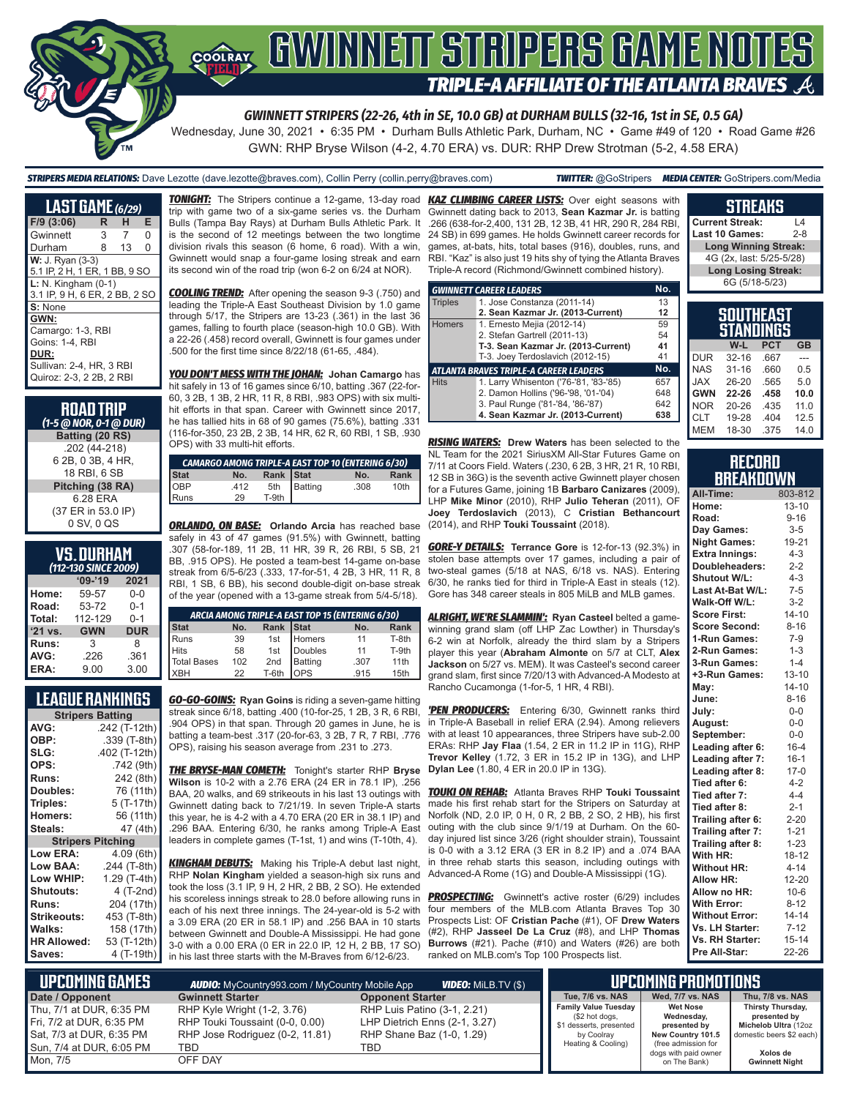# **COORAY GWINNEIT STRIPERS GAME NOTES TRIPLE-A AFFILIATE OF THE ATLANTA BRAVES**

*GWINNETT STRIPERS (22-26, 4th in SE, 10.0 GB) at DURHAM BULLS (32-16, 1st in SE, 0.5 GA)*

Wednesday, June 30, 2021 • 6:35 PM • Durham Bulls Athletic Park, Durham, NC • Game #49 of 120 • Road Game #26 GWN: RHP Bryse Wilson (4-2, 4.70 ERA) vs. DUR: RHP Drew Strotman (5-2, 4.58 ERA)

*STRIPERS MEDIA RELATIONS:* Dave Lezotte (dave.lezotte@braves.com), Collin Perry (collin.perry@braves.com) *TWITTER:* @GoStripers *MEDIA CENTER:* GoStripers.com/Media

| <b>LAST GAME</b> (6/29)                                  |   |    |   |  |
|----------------------------------------------------------|---|----|---|--|
| $F/9$ (3:06)                                             | R | н  | Е |  |
| Gwinnett                                                 | 3 | 7  | 0 |  |
| Durham                                                   | 8 | 13 | 0 |  |
| <b>W: J. Ryan (3-3)</b><br>5.1 IP, 2 H, 1 ER, 1 BB, 9 SO |   |    |   |  |
| $L: N.$ Kingham $(0-1)$<br>3.1 IP, 9 H, 6 ER, 2 BB, 2 SO |   |    |   |  |
| S: None                                                  |   |    |   |  |
| GWN:                                                     |   |    |   |  |
| Camargo: 1-3, RBI                                        |   |    |   |  |
| Goins: 1-4, RBI                                          |   |    |   |  |
| DUR:                                                     |   |    |   |  |
| Sullivan: 2-4. HR. 3 RBI                                 |   |    |   |  |
| Quiroz: 2-3. 2 2B. 2 RBI                                 |   |    |   |  |

#### **ROAD TRIP**  *(1-5 @ NOR, 0-1 @ DUR)* **Batting (20 RS)** .202 (44-218) 6 2B, 0 3B, 4 HR, 18 RBI, 6 SB **Pitching (38 RA)** 6.28 ERA

(37 ER in 53.0 IP) 0 SV, 0 QS

#### **VS. DURHAM** *(112-130 SINCE 2009)*

| (TIZEDU SINCE ZUUS) |            |            |  |  |
|---------------------|------------|------------|--|--|
|                     | $09 - 19$  | 2021       |  |  |
| Home:               | 59-57      | $0-0$      |  |  |
| Road:               | 53-72      | $0 - 1$    |  |  |
| Total:              | 112-129    | $0 - 1$    |  |  |
| '21 vs.             | <b>GWN</b> | <b>DUR</b> |  |  |
| Runs:               | 3          | 8          |  |  |
| AVG:                | .226       | .361       |  |  |
| ERA:                | 9.00       | 3.00       |  |  |

#### **LEAGUE RANKINGS**

| <b>Stripers Batting</b> |                 |  |  |
|-------------------------|-----------------|--|--|
| AVG:                    | .242 (T-12th)   |  |  |
| OBP:                    | .339 (T-8th)    |  |  |
| SLG:                    | .402 (T-12th)   |  |  |
| OPS:                    | .742 (9th)      |  |  |
| <b>Runs:</b>            | 242 (8th)       |  |  |
| Doubles:                | 76 (11th)       |  |  |
| Triples:                | 5 (T-17th)      |  |  |
| <b>Homers:</b>          | 56 (11th)       |  |  |
| Steals:                 | 47 (4th)        |  |  |
| <b>Stripers</b>         | <b>Pitching</b> |  |  |
| <b>Low ERA:</b>         | 4.09 (6th)      |  |  |
| Low BAA:                | .244 (T-8th)    |  |  |
| Low WHIP:               | 1.29 (T-4th)    |  |  |
| <b>Shutouts:</b>        | 4 (T-2nd)       |  |  |
| <b>Runs:</b>            | 204 (17th)      |  |  |
| <b>Strikeouts:</b>      | 453 (T-8th)     |  |  |
| <b>Walks:</b>           | 158 (17th)      |  |  |
| <b>HR Allowed:</b>      | 53 (T-12th)     |  |  |
| Saves:                  | 4 (T-19th)      |  |  |

*TONIGHT:* The Stripers continue a 12-game, 13-day road *KAZ CLIMBING CAREER LISTS:* Over eight seasons with trip with game two of a six-game series vs. the Durham Bulls (Tampa Bay Rays) at Durham Bulls Athletic Park. It .266 (638-for-2,400, 131 2B, 12 3B, 41 HR, 290 R, 284 RBI, is the second of 12 meetings between the two longtime division rivals this season (6 home, 6 road). With a win, Gwinnett would snap a four-game losing streak and earn its second win of the road trip (won 6-2 on 6/24 at NOR).

*COOLING TREND:* After opening the season 9-3 (.750) and leading the Triple-A East Southeast Division by 1.0 game through 5/17, the Stripers are 13-23 (.361) in the last 36 games, falling to fourth place (season-high 10.0 GB). With a 22-26 (.458) record overall, Gwinnett is four games under .500 for the first time since 8/22/18 (61-65, .484).

*YOU DON'T MESS WITH THE JOHAN:* **Johan Camargo** has hit safely in 13 of 16 games since 6/10, batting .367 (22-for-60, 3 2B, 1 3B, 2 HR, 11 R, 8 RBI, .983 OPS) with six multihit efforts in that span. Career with Gwinnett since 2017, he has tallied hits in 68 of 90 games (75.6%), batting .331 (116-for-350, 23 2B, 2 3B, 14 HR, 62 R, 60 RBI, 1 SB, .930 OPS) with 33 multi-hit efforts.

| <b>CAMARGO AMONG TRIPLE-A EAST TOP 10 (ENTERING 6/30)</b> |      |           |         |      |                  |
|-----------------------------------------------------------|------|-----------|---------|------|------------------|
| <b>Stat</b>                                               | No.  | Rank Stat |         | No.  | Rank             |
| <b>OBP</b>                                                | .412 | 5th       | Batting | .308 | 10 <sub>th</sub> |
| Runs                                                      | 29   | T-9th     |         |      |                  |

*ORLANDO, ON BASE:* **Orlando Arcia** has reached base safely in 43 of 47 games (91.5%) with Gwinnett, batting .307 (58-for-189, 11 2B, 11 HR, 39 R, 26 RBI, 5 SB, 21 BB, .915 OPS). He posted a team-best 14-game on-base streak from 6/5-6/23 (.333, 17-for-51, 4 2B, 3 HR, 11 R, 8 RBI, 1 SB, 6 BB), his second double-digit on-base streak of the year (opened with a 13-game streak from 5/4-5/18).

| ARCIA AMONG TRIPLE-A EAST TOP 15 (ENTERING 6/30) |     |           |              |      |             |
|--------------------------------------------------|-----|-----------|--------------|------|-------------|
| Stat                                             | No. | Rank Stat |              | No.  | <b>Rank</b> |
|                                                  | 39  |           | 1st Homers   | 11   | T-8th       |
| Runs<br>Hits                                     | 58  |           | 1st Doubles  | 11   | T-9th       |
| Total Bases                                      | 102 | 2nd       | Batting      | .307 | 11th        |
| <b>IXBH</b>                                      | 22  | T-6th     | <b>I</b> OPS | .915 | 15th        |

*GO-GO-GOINS:* **Ryan Goins** is riding a seven-game hitting streak since 6/18, batting .400 (10-for-25, 1 2B, 3 R, 6 RBI, .904 OPS) in that span. Through 20 games in June, he is batting a team-best .317 (20-for-63, 3 2B, 7 R, 7 RBI, .776 OPS), raising his season average from .231 to .273.

*THE BRYSE-MAN COMETH:* Tonight's starter RHP **Bryse Wilson** is 10-2 with a 2.76 ERA (24 ER in 78.1 IP), .256 BAA, 20 walks, and 69 strikeouts in his last 13 outings with Gwinnett dating back to 7/21/19. In seven Triple-A starts this year, he is 4-2 with a 4.70 ERA (20 ER in 38.1 IP) and .296 BAA. Entering 6/30, he ranks among Triple-A East leaders in complete games (T-1st, 1) and wins (T-10th, 4).

*KINGHAM DEBUTS:* Making his Triple-A debut last night, RHP **Nolan Kingham** yielded a season-high six runs and took the loss (3.1 IP, 9 H, 2 HR, 2 BB, 2 SO). He extended his scoreless innings streak to 28.0 before allowing runs in each of his next three innings. The 24-year-old is 5-2 with a 3.09 ERA (20 ER in 58.1 IP) and .256 BAA in 10 starts between Gwinnett and Double-A Mississippi. He had gone 3-0 with a 0.00 ERA (0 ER in 22.0 IP, 12 H, 2 BB, 17 SO) in his last three starts with the M-Braves from 6/12-6/23.

Gwinnett dating back to 2013, **Sean Kazmar Jr.** is batting 24 SB) in 699 games. He holds Gwinnett career records for games, at-bats, hits, total bases (916), doubles, runs, and RBI. "Kaz" is also just 19 hits shy of tying the Atlanta Braves Triple-A record (Richmond/Gwinnett combined history).

|                | <b>GWINNETT CAREER LEADERS</b>                | No. |  |  |
|----------------|-----------------------------------------------|-----|--|--|
| <b>Triples</b> | 1. Jose Constanza (2011-14)                   | 13  |  |  |
|                | 2. Sean Kazmar Jr. (2013-Current)             | 12  |  |  |
| <b>Homers</b>  | 1. Ernesto Mejia (2012-14)                    | 59  |  |  |
|                | 2. Stefan Gartrell (2011-13)                  | 54  |  |  |
|                | T-3. Sean Kazmar Jr. (2013-Current)           | 41  |  |  |
|                | T-3. Joey Terdoslavich (2012-15)              | 41  |  |  |
|                | No.<br>ATLANTA BRAVES TRIPLE-A CAREER LEADERS |     |  |  |
| <b>Hits</b>    | 1. Larry Whisenton ('76-'81, '83-'85)         | 657 |  |  |
|                | 2. Damon Hollins ('96-'98, '01-'04)           | 648 |  |  |
|                | 3. Paul Runge ('81-'84, '86-'87)              | 642 |  |  |
|                | 4. Sean Kazmar Jr. (2013-Current)             | 638 |  |  |

*RISING WATERS:* **Drew Waters** has been selected to the NL Team for the 2021 SiriusXM All-Star Futures Game on 7/11 at Coors Field. Waters (.230, 6 2B, 3 HR, 21 R, 10 RBI, 12 SB in 36G) is the seventh active Gwinnett player chosen for a Futures Game, joining 1B **Barbaro Canizares** (2009), LHP **Mike Minor** (2010), RHP **Julio Teheran** (2011), OF **Joey Terdoslavich** (2013), C **Cristian Bethancourt** (2014), and RHP **Touki Toussaint** (2018).

*GORE-Y DETAILS:* **Terrance Gore** is 12-for-13 (92.3%) in stolen base attempts over 17 games, including a pair of two-steal games (5/18 at NAS, 6/18 vs. NAS). Entering 6/30, he ranks tied for third in Triple-A East in steals (12). Gore has 348 career steals in 805 MiLB and MLB games.

*ALRIGHT, WE'RE SLAMMIN':* **Ryan Casteel** belted a gamewinning grand slam (off LHP Zac Lowther) in Thursday's 6-2 win at Norfolk, already the third slam by a Stripers player this year (**Abraham Almonte** on 5/7 at CLT, **Alex Jackson** on 5/27 vs. MEM). It was Casteel's second career grand slam, first since 7/20/13 with Advanced-A Modesto at Rancho Cucamonga (1-for-5, 1 HR, 4 RBI).

*'PEN PRODUCERS:* Entering 6/30, Gwinnett ranks third in Triple-A Baseball in relief ERA (2.94). Among relievers with at least 10 appearances, three Stripers have sub-2.00 ERAs: RHP **Jay Flaa** (1.54, 2 ER in 11.2 IP in 11G), RHP **Trevor Kelley** (1.72, 3 ER in 15.2 IP in 13G), and LHP **Dylan Lee** (1.80, 4 ER in 20.0 IP in 13G).

*TOUKI ON REHAB:* Atlanta Braves RHP **Touki Toussaint** made his first rehab start for the Stripers on Saturday at Norfolk (ND, 2.0 IP, 0 H, 0 R, 2 BB, 2 SO, 2 HB), his first outing with the club since 9/1/19 at Durham. On the 60 day injured list since 3/26 (right shoulder strain), Toussaint is 0-0 with a 3.12 ERA (3 ER in 8.2 IP) and a .074 BAA in three rehab starts this season, including outings with Advanced-A Rome (1G) and Double-A Mississippi (1G).

**PROSPECTING:** Gwinnett's active roster (6/29) includes four members of the MLB.com Atlanta Braves Top 30 Prospects List: OF **Cristian Pache** (#1), OF **Drew Waters** (#2), RHP **Jasseel De La Cruz** (#8), and LHP **Thomas Burrows** (#21). Pache (#10) and Waters (#26) are both ranked on MLB.com's Top 100 Prospects list.

| <b>Last 10 Games:</b>                | $2 - 8$ |
|--------------------------------------|---------|
| <b>Long Winning Streak:</b>          |         |
| 4G (2x, last: 5/25-5/28)             |         |
| <b>Long Losing Streak:</b>           |         |
| 6G (5/18-5/23)                       |         |
|                                      |         |
| <b>SOUTHEAST</b><br><b>STANNINGS</b> |         |

**STREAKS Current Streak:** L4

|            | STANDINGS |            |           |
|------------|-----------|------------|-----------|
|            | W-L       | <b>PCT</b> | <b>GB</b> |
| <b>DUR</b> | $32 - 16$ | .667       |           |
| <b>NAS</b> | $31 - 16$ | .660       | 0.5       |
| <b>JAX</b> | 26-20     | .565       | 5.0       |
| <b>GWN</b> | 22-26     | .458       | 10.0      |
| <b>NOR</b> | $20 - 26$ | .435       | 11.0      |
| <b>CLT</b> | 19-28     | .404       | 12.5      |
| <b>MEM</b> | 18-30     | .375       | 14.0      |

| <b>RECORD</b>    |
|------------------|
| <b>BREAKDOWN</b> |

| All-Time:              | 803-812   |
|------------------------|-----------|
| Home:                  | $13 - 10$ |
| Road:                  | $9 - 16$  |
| Day Games:             | $3-5$     |
| <b>Night Games:</b>    | 19-21     |
| <b>Extra Innings:</b>  | $4 - 3$   |
| Doubleheaders:         | $2 - 2$   |
| <b>Shutout W/L:</b>    | $4 - 3$   |
| Last At-Bat W/L:       | $7 - 5$   |
| Walk-Off W/L:          | $3 - 2$   |
| <b>Score First:</b>    | $14 - 10$ |
| <b>Score Second:</b>   | $8 - 16$  |
| 1-Run Games:           | $7-9$     |
| 2-Run Games:           | $1 - 3$   |
| 3-Run Games:           | $1 - 4$   |
| +3-Run Games:          | $13 - 10$ |
| May:                   | $14 - 10$ |
| June:                  | $8 - 16$  |
| July:                  | $0-0$     |
| August:                | $0-0$     |
| September:             | $0-0$     |
| Leading after 6:       | $16 - 4$  |
| Leading after 7:       | $16 - 1$  |
| Leading after 8:       | $17-0$    |
| Tied after 6:          | $4 - 2$   |
| Tied after 7:          | $4 - 4$   |
| Tied after 8:          | $2 - 1$   |
| Trailing after 6:      | $2 - 20$  |
| Trailing after 7:      | $1 - 21$  |
| Trailing after 8:      | $1 - 23$  |
| With HR:               | $18 - 12$ |
| <b>Without HR:</b>     | $4 - 14$  |
| <b>Allow HR:</b>       | 12-20     |
| Allow no HR:           | $10 - 6$  |
| <b>With Error:</b>     | $8 - 12$  |
| <b>Without Error:</b>  | $14 - 14$ |
| Vs. LH Starter:        | $7 - 12$  |
| <b>Vs. RH Starter:</b> | $15 - 14$ |
| Pre All-Star:          | 22-26     |

| Lupcoming Games I                                                                                            | <b>AUDIO:</b> MyCountry993.com / MyCountry Mobile App                                                    | <b>VIDEO: MILB.TV (\$)</b>                                                                       |                                                                                                              | UPCOMING PROMOTIONS <b>I</b>                                                                                      |                                                                                                   |
|--------------------------------------------------------------------------------------------------------------|----------------------------------------------------------------------------------------------------------|--------------------------------------------------------------------------------------------------|--------------------------------------------------------------------------------------------------------------|-------------------------------------------------------------------------------------------------------------------|---------------------------------------------------------------------------------------------------|
| Date / Opponent                                                                                              | <b>Gwinnett Starter</b>                                                                                  | <b>Opponent Starter</b>                                                                          | Tue, 7/6 vs. NAS                                                                                             | Wed. 7/7 vs. NAS                                                                                                  | Thu, 7/8 vs. NAS                                                                                  |
| Thu. 7/1 at DUR. 6:35 PM<br>Fri, 7/2 at DUR, 6:35 PM<br>Sat, 7/3 at DUR, 6:35 PM<br>Sun. 7/4 at DUR. 6:05 PM | RHP Kyle Wright (1-2, 3.76)<br>RHP Touki Toussaint (0-0, 0.00)<br>RHP Jose Rodriguez (0-2, 11.81)<br>TBD | RHP Luis Patino (3-1, 2.21)<br>LHP Dietrich Enns (2-1, 3.27)<br>RHP Shane Baz (1-0, 1.29)<br>TBD | <b>Family Value Tuesday</b><br>(\$2 hot dogs,<br>\$1 desserts, presented<br>by Coolray<br>Heating & Cooling) | <b>Wet Nose</b><br>Wednesday,<br>presented by<br>New Country 101.5<br>(free admission for<br>dogs with paid owner | Thirsty Thursday,<br>presented by<br>Michelob Ultra (12oz<br>domestic beers \$2 each)<br>Xolos de |
| Mon, 7/5                                                                                                     | OFF DAY                                                                                                  |                                                                                                  |                                                                                                              | on The Bank)                                                                                                      | <b>Gwinnett Night</b>                                                                             |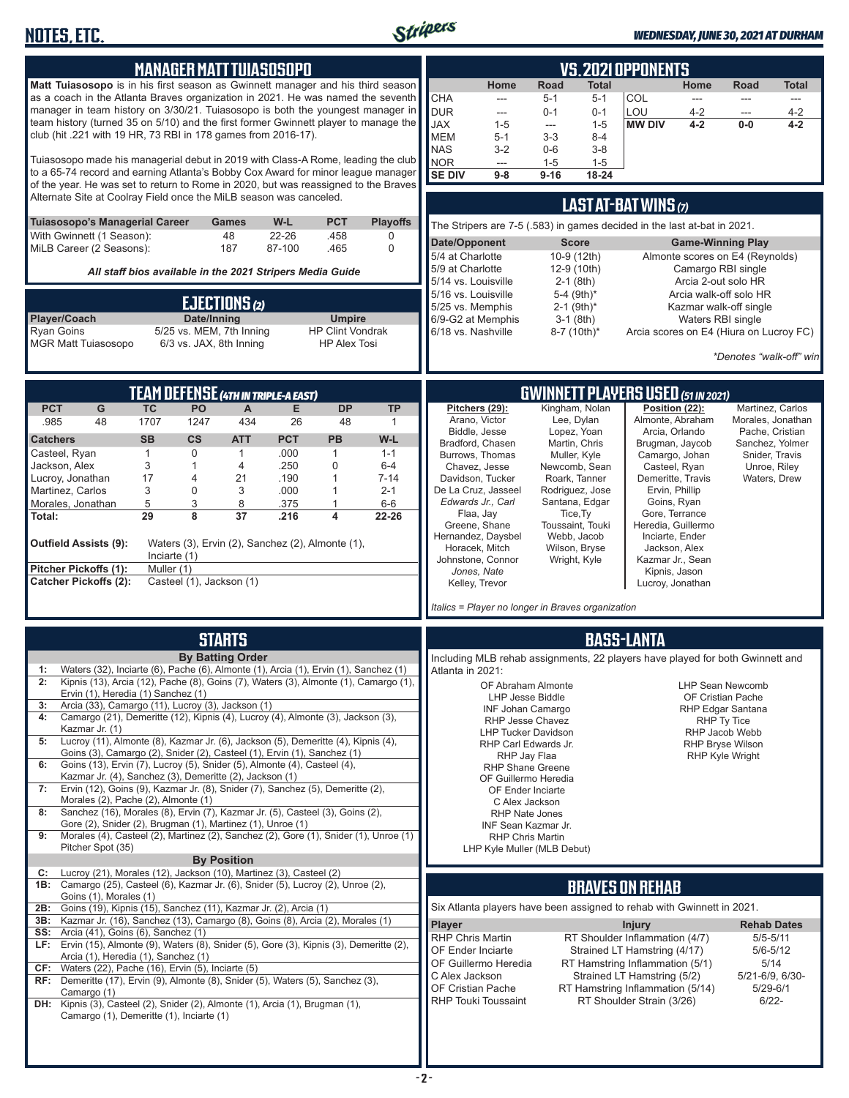

| <b>MANAGER MATT TUIASOSOPO</b>                                                                                                                                                                                                                                                                                                                                                                                                                                                                                                                                                                                                                                                                                                                                                                                                                                                                                                                                                                                                                                                                                                                                                                                                                              | <b>VS. 2021 OPPONENTS</b>                                                                                                                                                                                                                                                                                                                                                                                                                                                                                                                                                                                                                                                                                                                                                                                                                                                                                   |
|-------------------------------------------------------------------------------------------------------------------------------------------------------------------------------------------------------------------------------------------------------------------------------------------------------------------------------------------------------------------------------------------------------------------------------------------------------------------------------------------------------------------------------------------------------------------------------------------------------------------------------------------------------------------------------------------------------------------------------------------------------------------------------------------------------------------------------------------------------------------------------------------------------------------------------------------------------------------------------------------------------------------------------------------------------------------------------------------------------------------------------------------------------------------------------------------------------------------------------------------------------------|-------------------------------------------------------------------------------------------------------------------------------------------------------------------------------------------------------------------------------------------------------------------------------------------------------------------------------------------------------------------------------------------------------------------------------------------------------------------------------------------------------------------------------------------------------------------------------------------------------------------------------------------------------------------------------------------------------------------------------------------------------------------------------------------------------------------------------------------------------------------------------------------------------------|
| Matt Tuiasosopo is in his first season as Gwinnett manager and his third season<br>as a coach in the Atlanta Braves organization in 2021. He was named the seventh<br>manager in team history on 3/30/21. Tuiasosopo is both the youngest manager in<br>team history (turned 35 on 5/10) and the first former Gwinnett player to manage the<br>club (hit .221 with 19 HR, 73 RBI in 178 games from 2016-17).<br>Tuiasosopo made his managerial debut in 2019 with Class-A Rome, leading the club<br>to a 65-74 record and earning Atlanta's Bobby Cox Award for minor league manager<br>of the year. He was set to return to Rome in 2020, but was reassigned to the Braves                                                                                                                                                                                                                                                                                                                                                                                                                                                                                                                                                                                 | Home<br>Home<br><b>Road</b><br>Total<br><b>Total</b><br>Road<br><b>CHA</b><br>COL<br>$5 - 1$<br>$5 - 1$<br>$\sim$<br>---<br>---<br>$---$<br><b>DUR</b><br>LOU<br>$4 - 2$<br>$0 - 1$<br>$0 - 1$<br>$4 - 2$<br>---<br>---<br><b>JAX</b><br>$1 - 5$<br><b>MW DIV</b><br>$4 - 2$<br>$0-0$<br>$4 - 2$<br>$1 - 5$<br>---<br><b>MEM</b><br>$3 - 3$<br>$5 - 1$<br>$8 - 4$<br><b>NAS</b><br>$3 - 2$<br>$0-6$<br>$3 - 8$<br>NOR<br>$1 - 5$<br>$1 - 5$<br>$\overline{a}$<br><b>SE DIV</b><br>$9 - 16$<br>$18 - 24$<br>$9-8$                                                                                                                                                                                                                                                                                                                                                                                            |
| Alternate Site at Coolray Field once the MiLB season was canceled.                                                                                                                                                                                                                                                                                                                                                                                                                                                                                                                                                                                                                                                                                                                                                                                                                                                                                                                                                                                                                                                                                                                                                                                          | LAST AT-BAT WINS (7)                                                                                                                                                                                                                                                                                                                                                                                                                                                                                                                                                                                                                                                                                                                                                                                                                                                                                        |
| W-L<br><b>PCT</b><br>Tuiasosopo's Managerial Career<br><b>Games</b><br><b>Playoffs</b><br>With Gwinnett (1 Season):<br>48<br>22-26<br>.458<br>0                                                                                                                                                                                                                                                                                                                                                                                                                                                                                                                                                                                                                                                                                                                                                                                                                                                                                                                                                                                                                                                                                                             | The Stripers are 7-5 (.583) in games decided in the last at-bat in 2021.                                                                                                                                                                                                                                                                                                                                                                                                                                                                                                                                                                                                                                                                                                                                                                                                                                    |
| MiLB Career (2 Seasons):<br>187<br>87-100<br>0<br>.465                                                                                                                                                                                                                                                                                                                                                                                                                                                                                                                                                                                                                                                                                                                                                                                                                                                                                                                                                                                                                                                                                                                                                                                                      | Date/Opponent<br><b>Score</b><br><b>Game-Winning Play</b><br>5/4 at Charlotte<br>10-9 (12th)<br>Almonte scores on E4 (Reynolds)                                                                                                                                                                                                                                                                                                                                                                                                                                                                                                                                                                                                                                                                                                                                                                             |
| All staff bios available in the 2021 Stripers Media Guide                                                                                                                                                                                                                                                                                                                                                                                                                                                                                                                                                                                                                                                                                                                                                                                                                                                                                                                                                                                                                                                                                                                                                                                                   | 5/9 at Charlotte<br>12-9 (10th)<br>Camargo RBI single<br>5/14 vs. Louisville<br>$2-1$ (8th)<br>Arcia 2-out solo HR                                                                                                                                                                                                                                                                                                                                                                                                                                                                                                                                                                                                                                                                                                                                                                                          |
| EJECTIONS (2)                                                                                                                                                                                                                                                                                                                                                                                                                                                                                                                                                                                                                                                                                                                                                                                                                                                                                                                                                                                                                                                                                                                                                                                                                                               | 5/16 vs. Louisville<br>5-4 (9th)*<br>Arcia walk-off solo HR<br>5/25 vs. Memphis<br>$2-1$ (9th) <sup>*</sup><br>Kazmar walk-off single                                                                                                                                                                                                                                                                                                                                                                                                                                                                                                                                                                                                                                                                                                                                                                       |
| Player/Coach<br>Date/Inning<br><b>Umpire</b><br>5/25 vs. MEM, 7th Inning<br><b>HP Clint Vondrak</b><br><b>Ryan Goins</b>                                                                                                                                                                                                                                                                                                                                                                                                                                                                                                                                                                                                                                                                                                                                                                                                                                                                                                                                                                                                                                                                                                                                    | 6/9-G2 at Memphis<br>$3-1$ (8th)<br>Waters RBI single<br>6/18 vs. Nashville<br>8-7 (10th)*<br>Arcia scores on E4 (Hiura on Lucroy FC)                                                                                                                                                                                                                                                                                                                                                                                                                                                                                                                                                                                                                                                                                                                                                                       |
| <b>MGR Matt Tuiasosopo</b><br>6/3 vs. JAX, 8th Inning<br><b>HP Alex Tosi</b>                                                                                                                                                                                                                                                                                                                                                                                                                                                                                                                                                                                                                                                                                                                                                                                                                                                                                                                                                                                                                                                                                                                                                                                | *Denotes "walk-off" win                                                                                                                                                                                                                                                                                                                                                                                                                                                                                                                                                                                                                                                                                                                                                                                                                                                                                     |
|                                                                                                                                                                                                                                                                                                                                                                                                                                                                                                                                                                                                                                                                                                                                                                                                                                                                                                                                                                                                                                                                                                                                                                                                                                                             |                                                                                                                                                                                                                                                                                                                                                                                                                                                                                                                                                                                                                                                                                                                                                                                                                                                                                                             |
| <b>TEAM DEFENSE (4TH IN TRIPLE-A EAST)</b><br>TC<br>G<br>PO<br><b>DP</b><br><b>PCT</b><br>A<br>Е<br><b>TP</b>                                                                                                                                                                                                                                                                                                                                                                                                                                                                                                                                                                                                                                                                                                                                                                                                                                                                                                                                                                                                                                                                                                                                               | <b>GWINNETT PLAYERS USED (51 IN 2021)</b><br>Kingham, Nolan<br>Position (22):<br>Pitchers (29):<br>Martinez. Carlos                                                                                                                                                                                                                                                                                                                                                                                                                                                                                                                                                                                                                                                                                                                                                                                         |
| 1707<br>434<br>.985<br>48<br>1247<br>26<br>48<br>1<br><b>PCT</b><br><b>SB</b><br><b>CS</b><br><b>PB</b><br>W-L<br><b>Catchers</b><br><b>ATT</b><br>.000<br>Casteel, Ryan<br>$\mathbf{1}$<br>0<br>$\mathbf{1}$<br>$\mathbf{1}$<br>$1 - 1$<br>3<br>.250<br>$\mathbf 0$<br>Jackson, Alex<br>$\mathbf{1}$<br>4<br>$6-4$<br>17<br>.190<br>Lucroy, Jonathan<br>4<br>21<br>$\mathbf 1$<br>$7 - 14$<br>Martinez, Carlos<br>3<br>$\boldsymbol{0}$<br>3<br>.000<br>$2 - 1$<br>$\mathbf{1}$<br>5<br>3<br>8<br>.375<br>Morales, Jonathan<br>$6-6$<br>29<br>8<br>37<br>Total:<br>.216<br>4<br>22-26<br>Waters (3), Ervin (2), Sanchez (2), Almonte (1),<br>Outfield Assists (9):<br>Inciarte $(1)$<br>Pitcher Pickoffs (1):<br>Muller (1)<br><b>Catcher Pickoffs (2):</b><br>Casteel (1), Jackson (1)                                                                                                                                                                                                                                                                                                                                                                                                                                                                    | Arano, Victor<br>Lee, Dylan<br>Almonte, Abraham<br>Morales, Jonathan<br>Biddle, Jesse<br>Lopez, Yoan<br>Arcia, Orlando<br>Pache, Cristian<br>Bradford, Chasen<br>Martin, Chris<br>Brugman, Jaycob<br>Sanchez, Yolmer<br>Burrows, Thomas<br>Muller, Kyle<br>Camargo, Johan<br>Snider, Travis<br>Chavez, Jesse<br>Newcomb, Sean<br>Casteel, Ryan<br>Unroe, Riley<br>Demeritte, Travis<br>Davidson, Tucker<br>Roark, Tanner<br>Waters, Drew<br>De La Cruz, Jasseel<br>Rodriguez, Jose<br>Ervin, Phillip<br>Edwards Jr., Carl<br>Santana, Edgar<br>Goins, Ryan<br>Gore, Terrance<br>Flaa, Jay<br>Tice, Ty<br>Toussaint, Touki<br>Heredia, Guillermo<br>Greene, Shane<br>Hernandez, Daysbel<br>Webb, Jacob<br>Inciarte, Ender<br>Horacek, Mitch<br>Wilson, Bryse<br>Jackson, Alex<br>Johnstone, Connor<br>Wright, Kyle<br>Kazmar Jr., Sean<br>Jones, Nate<br>Kipnis, Jason<br>Kelley, Trevor<br>Lucroy, Jonathan |
| <b>STARTS</b>                                                                                                                                                                                                                                                                                                                                                                                                                                                                                                                                                                                                                                                                                                                                                                                                                                                                                                                                                                                                                                                                                                                                                                                                                                               | Italics = Player no longer in Braves organization<br><b>BASS-LANTA</b>                                                                                                                                                                                                                                                                                                                                                                                                                                                                                                                                                                                                                                                                                                                                                                                                                                      |
| <b>By Batting Order</b><br>Waters (32), Inciarte (6), Pache (6), Almonte (1), Arcia (1), Ervin (1), Sanchez (1)<br>1:<br>Kipnis (13), Arcia (12), Pache (8), Goins (7), Waters (3), Almonte (1), Camargo (1),<br>2:<br>Ervin (1), Heredia (1) Sanchez (1)<br>Arcia (33), Camargo (11), Lucroy (3), Jackson (1)<br>3:<br>Camargo (21), Demeritte (12), Kipnis (4), Lucroy (4), Almonte (3), Jackson (3),<br>4:<br>Kazmar Jr. (1)<br>Lucroy (11), Almonte (8), Kazmar Jr. (6), Jackson (5), Demeritte (4), Kipnis (4),<br>5:<br>Goins (3), Camargo (2), Snider (2), Casteel (1), Ervin (1), Sanchez (1)<br>Goins (13), Ervin (7), Lucroy (5), Snider (5), Almonte (4), Casteel (4),<br>6:<br>Kazmar Jr. (4), Sanchez (3), Demeritte (2), Jackson (1)<br>Ervin (12), Goins (9), Kazmar Jr. (8), Snider (7), Sanchez (5), Demeritte (2),<br>7:<br>Morales (2), Pache (2), Almonte (1)<br>Sanchez (16), Morales (8), Ervin (7), Kazmar Jr. (5), Casteel (3), Goins (2),<br>8:<br>Gore (2), Snider (2), Brugman (1), Martinez (1), Unroe (1)<br>Morales (4), Casteel (2), Martinez (2), Sanchez (2), Gore (1), Snider (1), Unroe (1)<br>9:<br>Pitcher Spot (35)<br><b>By Position</b><br>Lucroy (21), Morales (12), Jackson (10), Martinez (3), Casteel (2)<br>C: | Including MLB rehab assignments, 22 players have played for both Gwinnett and<br>Atlanta in 2021:<br>OF Abraham Almonte<br><b>LHP Sean Newcomb</b><br>LHP Jesse Biddle<br>OF Cristian Pache<br>INF Johan Camargo<br>RHP Edgar Santana<br>RHP Jesse Chavez<br>RHP Ty Tice<br><b>LHP Tucker Davidson</b><br>RHP Jacob Webb<br>RHP Carl Edwards Jr.<br><b>RHP Bryse Wilson</b><br>RHP Jay Flaa<br><b>RHP Kyle Wright</b><br><b>RHP Shane Greene</b><br>OF Guillermo Heredia<br>OF Ender Inciarte<br>C Alex Jackson<br>RHP Nate Jones<br>INF Sean Kazmar Jr.<br><b>RHP Chris Martin</b><br>LHP Kyle Muller (MLB Debut)                                                                                                                                                                                                                                                                                          |
| 1B: Camargo (25), Casteel (6), Kazmar Jr. (6), Snider (5), Lucroy (2), Unroe (2),<br>Goins (1), Morales (1)                                                                                                                                                                                                                                                                                                                                                                                                                                                                                                                                                                                                                                                                                                                                                                                                                                                                                                                                                                                                                                                                                                                                                 | <b>BRAVES ON REHAB</b>                                                                                                                                                                                                                                                                                                                                                                                                                                                                                                                                                                                                                                                                                                                                                                                                                                                                                      |
| Goins (19), Kipnis (15), Sanchez (11), Kazmar Jr. (2), Arcia (1)<br>2B:<br>Kazmar Jr. (16), Sanchez (13), Camargo (8), Goins (8), Arcia (2), Morales (1)<br>3B:                                                                                                                                                                                                                                                                                                                                                                                                                                                                                                                                                                                                                                                                                                                                                                                                                                                                                                                                                                                                                                                                                             | Six Atlanta players have been assigned to rehab with Gwinnett in 2021.                                                                                                                                                                                                                                                                                                                                                                                                                                                                                                                                                                                                                                                                                                                                                                                                                                      |
| Arcia (41), Goins (6), Sanchez (1)<br>SS:<br>LF: Ervin (15), Almonte (9), Waters (8), Snider (5), Gore (3), Kipnis (3), Demeritte (2),<br>Arcia (1), Heredia (1), Sanchez (1)<br>Waters (22), Pache (16), Ervin (5), Inciarte (5)<br>CF:<br>RF: Demeritte (17), Ervin (9), Almonte (8), Snider (5), Waters (5), Sanchez (3),<br>Camargo (1)<br>DH: Kipnis (3), Casteel (2), Snider (2), Almonte (1), Arcia (1), Brugman (1),<br>Camargo (1), Demeritte (1), Inciarte (1)                                                                                                                                                                                                                                                                                                                                                                                                                                                                                                                                                                                                                                                                                                                                                                                    | Player<br><b>Injury</b><br><b>Rehab Dates</b><br>RHP Chris Martin<br>RT Shoulder Inflammation (4/7)<br>$5/5 - 5/11$<br>OF Ender Inciarte<br>Strained LT Hamstring (4/17)<br>$5/6 - 5/12$<br>5/14<br>OF Guillermo Heredia<br>RT Hamstring Inflammation (5/1)<br>C Alex Jackson<br>Strained LT Hamstring (5/2)<br>5/21-6/9, 6/30-<br>OF Cristian Pache<br>RT Hamstring Inflammation (5/14)<br>$5/29 - 6/1$<br><b>RHP Touki Toussaint</b><br>RT Shoulder Strain (3/26)<br>$6/22 -$                                                                                                                                                                                                                                                                                                                                                                                                                             |
|                                                                                                                                                                                                                                                                                                                                                                                                                                                                                                                                                                                                                                                                                                                                                                                                                                                                                                                                                                                                                                                                                                                                                                                                                                                             |                                                                                                                                                                                                                                                                                                                                                                                                                                                                                                                                                                                                                                                                                                                                                                                                                                                                                                             |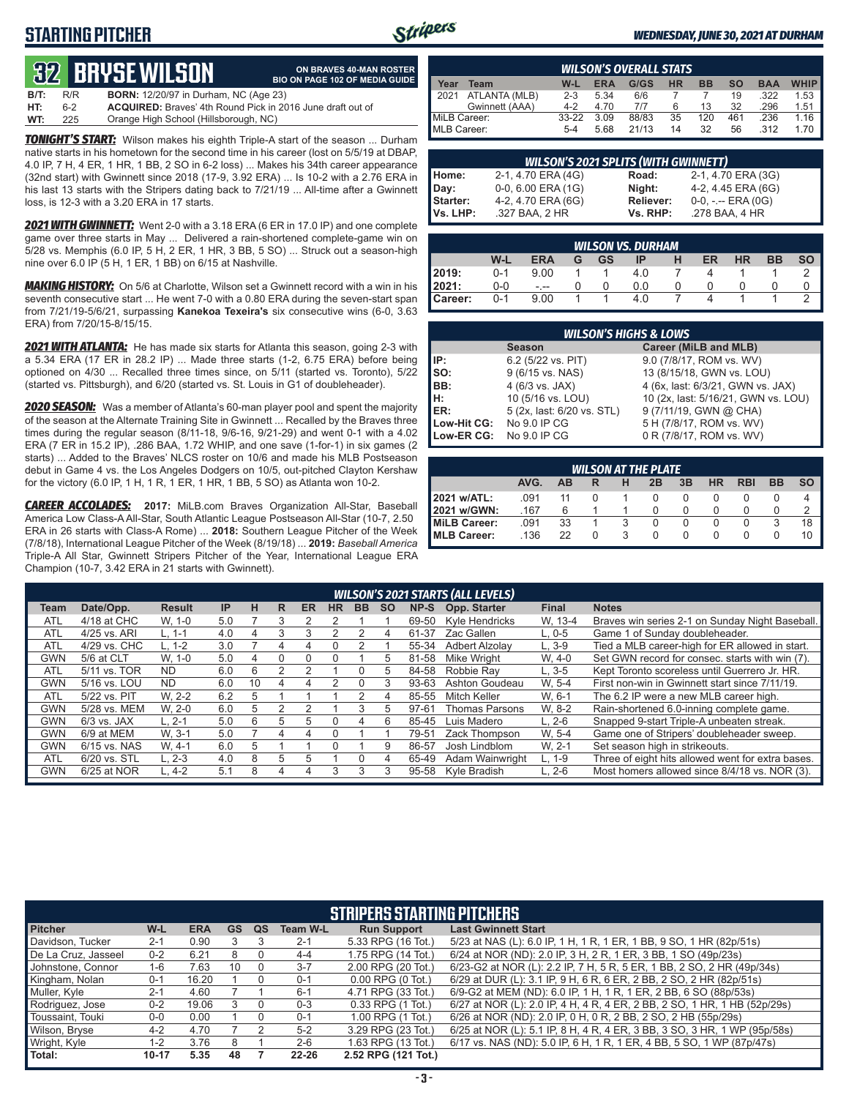### **STARTING PITCHER**



**ON BRAVES 40-MAN ROSTER**

#### *WEDNESDAY, JUNE 30, 2021 AT DURHAM*

# **32****BRYSE WILSON**

|      |     | <u>i (1/4</u> dili ul Viluui)                                     | <b>BIO ON PAGE 102 OF MEDIA GUIDE</b> |
|------|-----|-------------------------------------------------------------------|---------------------------------------|
| B/T: | R/R | <b>BORN:</b> 12/20/97 in Durham, NC (Age 23)                      |                                       |
| HT:  | հ-2 | <b>ACQUIRED:</b> Braves' 4th Round Pick in 2016 June draft out of |                                       |
| WT:  | 225 | Orange High School (Hillsborough, NC)                             |                                       |

*TONIGHT'S START:* Wilson makes his eighth Triple-A start of the season ... Durham native starts in his hometown for the second time in his career (lost on 5/5/19 at DBAP, 4.0 IP, 7 H, 4 ER, 1 HR, 1 BB, 2 SO in 6-2 loss) ... Makes his 34th career appearance (32nd start) with Gwinnett since 2018 (17-9, 3.92 ERA) ... Is 10-2 with a 2.76 ERA in his last 13 starts with the Stripers dating back to 7/21/19 ... All-time after a Gwinnett loss, is 12-3 with a 3.20 ERA in 17 starts.

*2021 WITH GWINNETT:* Went 2-0 with a 3.18 ERA (6 ER in 17.0 IP) and one complete game over three starts in May ... Delivered a rain-shortened complete-game win on 5/28 vs. Memphis (6.0 IP, 5 H, 2 ER, 1 HR, 3 BB, 5 SO) ... Struck out a season-high nine over 6.0 IP (5 H, 1 ER, 1 BB) on 6/15 at Nashville.

*MAKING HISTORY:* On 5/6 at Charlotte, Wilson set a Gwinnett record with a win in his seventh consecutive start ... He went 7-0 with a 0.80 ERA during the seven-start span from 7/21/19-5/6/21, surpassing **Kanekoa Texeira's** six consecutive wins (6-0, 3.63 ERA) from 7/20/15-8/15/15.

*2021 WITH ATLANTA:* He has made six starts for Atlanta this season, going 2-3 with a 5.34 ERA (17 ER in 28.2 IP) ... Made three starts (1-2, 6.75 ERA) before being optioned on 4/30 ... Recalled three times since, on 5/11 (started vs. Toronto), 5/22 (started vs. Pittsburgh), and 6/20 (started vs. St. Louis in G1 of doubleheader).

*2020 SEASON:* Was a member of Atlanta's 60-man player pool and spent the majority of the season at the Alternate Training Site in Gwinnett ... Recalled by the Braves three times during the regular season (8/11-18, 9/6-16, 9/21-29) and went 0-1 with a 4.02 ERA (7 ER in 15.2 IP), .286 BAA, 1.72 WHIP, and one save (1-for-1) in six games (2 starts) ... Added to the Braves' NLCS roster on 10/6 and made his MLB Postseason debut in Game 4 vs. the Los Angeles Dodgers on 10/5, out-pitched Clayton Kershaw for the victory (6.0 IP, 1 H, 1 R, 1 ER, 1 HR, 1 BB, 5 SO) as Atlanta won 10-2.

*CAREER ACCOLADES:* **2017:** MiLB.com Braves Organization All-Star, Baseball America Low Class-A All-Star, South Atlantic League Postseason All-Star (10-7, 2.50 ERA in 26 starts with Class-A Rome) ... **2018:** Southern League Pitcher of the Week (7/8/18), International League Pitcher of the Week (8/19/18) ... **2019:** *Baseball America*  Triple-A All Star, Gwinnett Stripers Pitcher of the Year, International League ERA Champion (10-7, 3.42 ERA in 21 starts with Gwinnett).

|                     | <b>WILSON'S OVERALL STATS</b> |         |            |       |           |           |           |            |             |  |  |  |
|---------------------|-------------------------------|---------|------------|-------|-----------|-----------|-----------|------------|-------------|--|--|--|
| Year                | Team                          | W-L     | <b>ERA</b> | G/GS  | <b>HR</b> | <b>BB</b> | <b>SO</b> | <b>BAA</b> | <b>WHIP</b> |  |  |  |
| $\blacksquare$ 2021 | ATLANTA (MLB)                 | $2 - 3$ | 5.34       | 6/6   |           |           | 19        | .322       | 1.53        |  |  |  |
|                     | Gwinnett (AAA)                | $4 - 2$ | 4.70       | 7/7   |           | 13        | 32        | .296       | 1.51        |  |  |  |
| MiLB Career:        |                               | $33-22$ | 3.09       | 88/83 | 35        | 120       | 461       | .236       | 1.16        |  |  |  |
| MLB Career:         |                               | $5 - 4$ | 5.68       | 21/13 | 14        | 32        | 56        | .312       | 1.70        |  |  |  |

|                 | <b>WILSON'S 2021 SPLITS (WITH GWINNETT)</b> |           |                       |
|-----------------|---------------------------------------------|-----------|-----------------------|
| Home:           | 2-1, 4.70 ERA (4G)                          | Road:     | 2-1, 4.70 ERA (3G)    |
| Day:            | $0-0, 6.00$ ERA $(1G)$                      | Night:    | 4-2, 4.45 ERA (6G)    |
| <b>Starter:</b> | 4-2, 4.70 ERA (6G)                          | Reliever: | $0-0, - -$ ERA $(0G)$ |
| Vs. LHP:        | .327 BAA, 2 HR                              | Vs. RHP:  | .278 BAA, 4 HR        |

| <b>WILSON VS. DURHAM</b> |         |            |   |    |     |   |    |    |    |           |  |
|--------------------------|---------|------------|---|----|-----|---|----|----|----|-----------|--|
|                          | W-L     | <b>ERA</b> | G | GS | IP  | н | ER | HR | BB | <b>SO</b> |  |
| 2019:                    | $0 - 1$ | 9.00       |   |    | 4.0 |   |    |    |    |           |  |
| 2021:                    | 0-0     |            |   |    | 0.0 |   |    |    |    |           |  |
| Career:                  | $0 - 1$ | 9.00       |   |    | 4.0 |   |    |    |    |           |  |

|                 | <b>WILSON'S HIGHS &amp; LOWS</b>       |                                     |  |  |  |  |  |  |  |  |  |  |
|-----------------|----------------------------------------|-------------------------------------|--|--|--|--|--|--|--|--|--|--|
|                 | Career (MiLB and MLB)<br><b>Season</b> |                                     |  |  |  |  |  |  |  |  |  |  |
| IP:             | 6.2 (5/22 vs. PIT)                     | 9.0 (7/8/17, ROM vs. WV)            |  |  |  |  |  |  |  |  |  |  |
| $\mathsf{Iso}:$ | 9 (6/15 vs. NAS)                       | 13 (8/15/18, GWN vs. LOU)           |  |  |  |  |  |  |  |  |  |  |
| BB:             | 4 (6/3 vs. JAX)                        | 4 (6x, last: 6/3/21, GWN vs. JAX)   |  |  |  |  |  |  |  |  |  |  |
| Iн:             | 10 (5/16 vs. LOU)                      | 10 (2x, last: 5/16/21, GWN vs. LOU) |  |  |  |  |  |  |  |  |  |  |
| <b>IER:</b>     | 5 (2x, last: 6/20 vs. STL)             | 9 (7/11/19, GWN @ CHA)              |  |  |  |  |  |  |  |  |  |  |
| Low-Hit CG:     | No 9.0 IP CG                           | 5 H (7/8/17, ROM vs. WV)            |  |  |  |  |  |  |  |  |  |  |
| Low-ER CG:      | No 9.0 IP CG                           | 0 R (7/8/17, ROM vs. WV)            |  |  |  |  |  |  |  |  |  |  |

| <b>WILSON AT THE PLATE</b>                                         |      |    |  |  |  |  |          |          |  |    |  |  |
|--------------------------------------------------------------------|------|----|--|--|--|--|----------|----------|--|----|--|--|
| AVG.<br>3B<br>HR<br><b>RBI</b><br>BB<br><b>SO</b><br>AB<br>2B<br>н |      |    |  |  |  |  |          |          |  |    |  |  |
| 2021 w/ATL:                                                        | .091 | 11 |  |  |  |  |          |          |  |    |  |  |
| <b>2021 w/GWN:</b>                                                 | .167 | 6  |  |  |  |  |          |          |  |    |  |  |
| MiLB Career:                                                       | .091 | 33 |  |  |  |  | $\Omega$ | $\Omega$ |  | 18 |  |  |
| <b>IMLB Career:</b>                                                | .136 | 22 |  |  |  |  |          |          |  | 10 |  |  |

|            | <b>WILSON'S 2021 STARTS (ALL LEVELS)</b> |               |           |    |   |           |           |          |           |       |                    |              |                                                   |
|------------|------------------------------------------|---------------|-----------|----|---|-----------|-----------|----------|-----------|-------|--------------------|--------------|---------------------------------------------------|
| Team       | Date/Opp.                                | <b>Result</b> | <b>IP</b> | н  | R | <b>ER</b> | <b>HR</b> | BB.      | <b>SO</b> | NP-S  | Opp. Starter       | <b>Final</b> | <b>Notes</b>                                      |
| <b>ATL</b> | 4/18 at CHC                              | W. 1-0        | 5.0       |    | 3 |           |           |          |           | 69-50 | Kyle Hendricks     | W. 13-4      | Braves win series 2-1 on Sunday Night Baseball.   |
| <b>ATL</b> | 4/25 vs. ARI                             | L. 1-1        | 4.0       |    | 3 | 3         |           |          | 4         | 61-37 | Zac Gallen         | $L.0-5$      | Game 1 of Sunday doubleheader.                    |
| <b>ATL</b> | 4/29 vs. CHC                             | $L. 1-2$      | 3.0       |    | 4 | 4         | 0         |          |           | 55-34 | Adbert Alzolav     | $L, 3-9$     | Tied a MLB career-high for ER allowed in start.   |
| <b>GWN</b> | 5/6 at CLT                               | W. 1-0        | 5.0       | Д  |   | $\Omega$  |           |          | 5         | 81-58 | <b>Mike Wright</b> | W. 4-0       | Set GWN record for consec. starts with win (7).   |
| ATL        | 5/11 vs. TOR                             | <b>ND</b>     | 6.0       | 6  | 2 |           |           | $\Omega$ | 5         | 84-58 | Robbie Rav         | $L.3 - 5$    | Kept Toronto scoreless until Guerrero Jr. HR.     |
| <b>GWN</b> | 5/16 vs. LOU                             | <b>ND</b>     | 6.0       | 10 | 4 | 4         |           |          |           | 93-63 | Ashton Goudeau     | W. 5-4       | First non-win in Gwinnett start since 7/11/19.    |
| <b>ATL</b> | 5/22 vs. PIT                             | W. 2-2        | 6.2       | 5  |   |           |           | っ        | 4         | 85-55 | Mitch Keller       | W. 6-1       | The 6.2 IP were a new MLB career high.            |
| <b>GWN</b> | 5/28 vs. MEM                             | W. 2-0        | 6.0       | 5  |   |           |           | 3        | 5         | 97-61 | Thomas Parsons     | W. 8-2       | Rain-shortened 6.0-inning complete game.          |
| <b>GWN</b> | $6/3$ vs. JAX                            | L. 2-1        | 5.0       | 6  | 5 | 5         |           | 4        | რ         | 85-45 | Luis Madero        | $L, 2-6$     | Snapped 9-start Triple-A unbeaten streak.         |
| <b>GWN</b> | 6/9 at MEM                               | W. 3-1        | 5.0       |    | 4 | Δ         |           |          |           | 79-51 | Zack Thompson      | W. 5-4       | Game one of Stripers' doubleheader sweep.         |
| <b>GWN</b> | 6/15 vs. NAS                             | W. 4-1        | 6.0       | 5  |   |           |           |          | 9         | 86-57 | Josh Lindblom      | W. 2-1       | Set season high in strikeouts.                    |
| <b>ATL</b> | 6/20 vs. STL                             | L. 2-3        | 4.0       | 8  | 5 | 5         |           | 0        | 4         | 65-49 | Adam Wainwright    | $L. 1-9$     | Three of eight hits allowed went for extra bases. |
| <b>GWN</b> | 6/25 at NOR                              | $L, 4-2$      | 5.1       | 8  | 4 | 4         | 3         | 3        |           | 95-58 | Kyle Bradish       | $L, 2-6$     | Most homers allowed since 8/4/18 vs. NOR (3).     |

|                     | <b>STRIPERS STARTING PITCHERS</b> |            |           |    |                 |                       |                                                                           |  |  |  |  |  |
|---------------------|-----------------------------------|------------|-----------|----|-----------------|-----------------------|---------------------------------------------------------------------------|--|--|--|--|--|
| <b>Pitcher</b>      | W-L                               | <b>ERA</b> | <b>GS</b> | QS | <b>Team W-L</b> | <b>Run Support</b>    | <b>Last Gwinnett Start</b>                                                |  |  |  |  |  |
| Davidson, Tucker    | $2 - 1$                           | 0.90       |           |    | $2 - 1$         | 5.33 RPG (16 Tot.)    | 5/23 at NAS (L): 6.0 IP, 1 H, 1 R, 1 ER, 1 BB, 9 SO, 1 HR (82p/51s)       |  |  |  |  |  |
| De La Cruz, Jasseel | $0 - 2$                           | 6.21       | 8         |    | $4 - 4$         | 1.75 RPG (14 Tot.)    | 6/24 at NOR (ND): 2.0 IP, 3 H, 2 R, 1 ER, 3 BB, 1 SO (49p/23s)            |  |  |  |  |  |
| Johnstone, Connor   | $1 - 6$                           | 7.63       | 10        |    | $3 - 7$         | 2.00 RPG (20 Tot.)    | 6/23-G2 at NOR (L): 2.2 IP, 7 H, 5 R, 5 ER, 1 BB, 2 SO, 2 HR (49p/34s)    |  |  |  |  |  |
| Kingham, Nolan      | $0 - 1$                           | 16.20      |           | ი  | $0 - 1$         | $0.00$ RPG $(0$ Tot.) | 6/29 at DUR (L): 3.1 IP, 9 H, 6 R, 6 ER, 2 BB, 2 SO, 2 HR (82p/51s)       |  |  |  |  |  |
| Muller, Kyle        | 2-1                               | 4.60       |           |    | $6 - 1$         | 4.71 RPG (33 Tot.)    | 6/9-G2 at MEM (ND): 6.0 IP, 1 H, 1 R, 1 ER, 2 BB, 6 SO (88p/53s)          |  |  |  |  |  |
| Rodriguez, Jose     | $0 - 2$                           | 19.06      |           |    | $0 - 3$         | 0.33 RPG (1 Tot.)     | 6/27 at NOR (L): 2.0 IP, 4 H, 4 R, 4 ER, 2 BB, 2 SO, 1 HR, 1 HB (52p/29s) |  |  |  |  |  |
| Toussaint. Touki    | $0-0$                             | 0.00       |           |    | $0 - 1$         | 1.00 RPG (1 Tot.)     | 6/26 at NOR (ND): 2.0 IP, 0 H, 0 R, 2 BB, 2 SO, 2 HB (55p/29s)            |  |  |  |  |  |
| Wilson, Bryse       | $4 - 2$                           | 4.70       |           |    | $5 - 2$         | 3.29 RPG (23 Tot.)    | 6/25 at NOR (L): 5.1 IP, 8 H, 4 R, 4 ER, 3 BB, 3 SO, 3 HR, 1 WP (95p/58s) |  |  |  |  |  |
| Wright, Kyle        | $1 - 2$                           | 3.76       | 8         |    | $2 - 6$         | 1.63 RPG (13 Tot.)    | 6/17 vs. NAS (ND): 5.0 IP, 6 H, 1 R, 1 ER, 4 BB, 5 SO, 1 WP (87p/47s)     |  |  |  |  |  |
| Total:              | $10 - 17$                         | 5.35       | 48        |    | $22 - 26$       | 2.52 RPG (121 Tot.)   |                                                                           |  |  |  |  |  |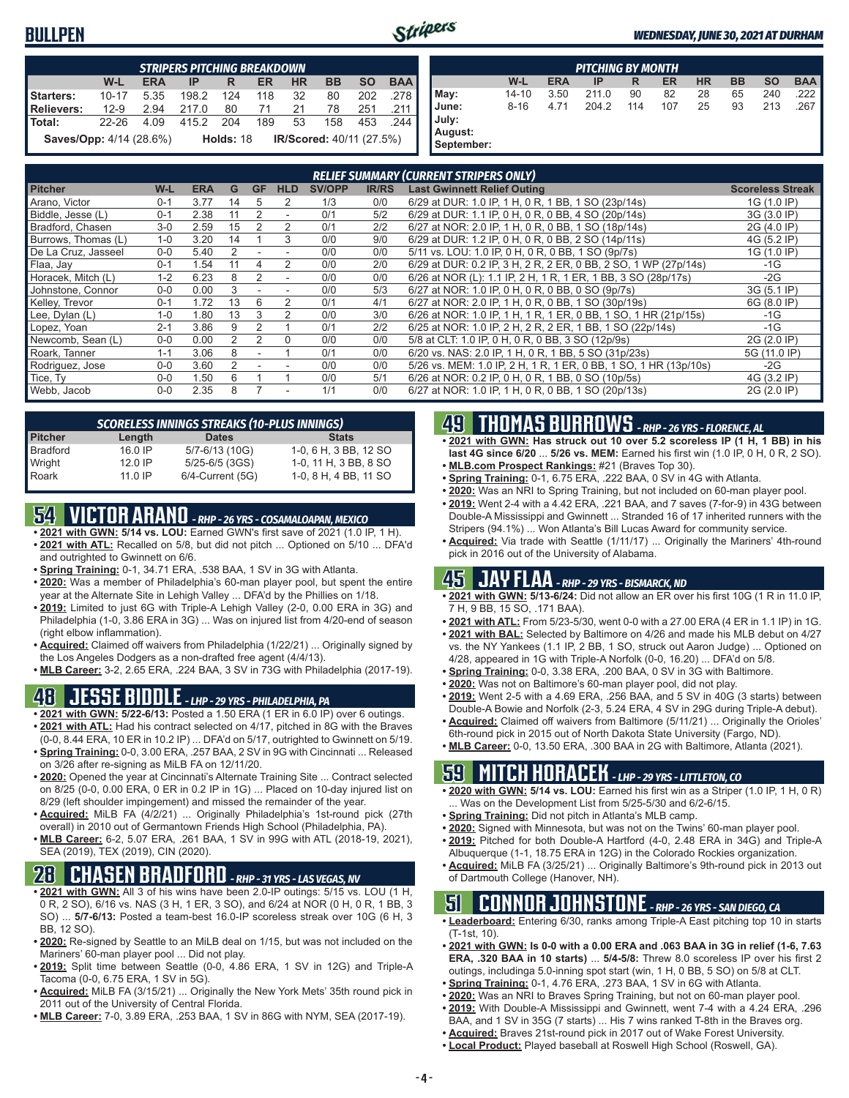#### **BULLPEN**



|                                                                                          | <b>STRIPERS PITCHING BREAKDOWN</b> |      |       |       |          |        |     |     |       |  |  |
|------------------------------------------------------------------------------------------|------------------------------------|------|-------|-------|----------|--------|-----|-----|-------|--|--|
| <b>BAA</b><br><b>SO</b><br><b>BB</b><br>W-L<br><b>HR</b><br><b>ERA</b><br>ER.<br>IP<br>R |                                    |      |       |       |          |        |     |     |       |  |  |
| Starters:                                                                                | 10-17                              | 5.35 | 198.2 | 124   |          | 118 32 | 80  | 202 | .278  |  |  |
| Relievers:                                                                               | $12-9$                             | 2.94 | 217.0 | 80    | 71 21 78 |        |     | 251 | .211  |  |  |
| Total:                                                                                   | 22-26                              | 4.09 | 415.2 | - 204 |          | 189 53 | 158 | 453 | 244 I |  |  |
| IR/Scored: 40/11 (27.5%)<br><b>Saves/Opp:</b> 4/14 (28.6%)<br><b>Holds: 18</b>           |                                    |      |       |       |          |        |     |     |       |  |  |

|                                         |           |            | <b>PITCHING BY MONTH</b> |     |     |           |           |           |            |
|-----------------------------------------|-----------|------------|--------------------------|-----|-----|-----------|-----------|-----------|------------|
|                                         | W-L       | <b>ERA</b> | IP                       | R   | ER  | <b>HR</b> | <b>BB</b> | <b>SO</b> | <b>BAA</b> |
| May:                                    | $14 - 10$ | 3.50       | 211.0                    | 90  | 82  | 28        | 65        | 240       | .222       |
| June:<br>July:<br>August:<br>September: | $8 - 16$  | 4.71       | 204.2                    | 114 | 107 | 25        | 93        | 213       | .267       |

|                     |         |            |    |             |                          |               |              | <b>RELIEF SUMMARY (CURRENT STRIPERS ONLY)</b>                    |                         |
|---------------------|---------|------------|----|-------------|--------------------------|---------------|--------------|------------------------------------------------------------------|-------------------------|
| <b>Pitcher</b>      | W-L     | <b>ERA</b> | G  | <b>GF</b>   | <b>HLD</b>               | <b>SV/OPP</b> | <b>IR/RS</b> | <b>Last Gwinnett Relief Outing</b>                               | <b>Scoreless Streak</b> |
| Arano, Victor       | $0 - 1$ | 3.77       | 14 | $\mathbf b$ | 2                        | 1/3           | 0/0          | 6/29 at DUR: 1.0 IP, 1 H, 0 R, 1 BB, 1 SO (23p/14s)              | 1G (1.0 IP)             |
| Biddle, Jesse (L)   | $0 - 1$ | 2.38       | 11 | 2           |                          | 0/1           | 5/2          | 6/29 at DUR: 1.1 IP, 0 H, 0 R, 0 BB, 4 SO (20p/14s)              | 3G (3.0 IP)             |
| Bradford, Chasen    | $3-0$   | 2.59       | 15 | 2           | 2                        | 0/1           | 2/2          | 6/27 at NOR: 2.0 IP, 1 H, 0 R, 0 BB, 1 SO (18p/14s)              | 2G (4.0 IP)             |
| Burrows, Thomas (L) | $1 - 0$ | 3.20       | 14 |             | 3                        | 0/0           | 9/0          | 6/29 at DUR: 1.2 IP, 0 H, 0 R, 0 BB, 2 SO (14p/11s)              | 4G (5.2 IP)             |
| De La Cruz, Jasseel | $0 - 0$ | 5.40       | 2  |             |                          | 0/0           | 0/0          | 5/11 vs. LOU: 1.0 IP, 0 H, 0 R, 0 BB, 1 SO (9p/7s)               | 1G (1.0 IP)             |
| Flaa, Jay           | $0 - 1$ | 1.54       | 11 |             | 2                        | 0/0           | 2/0          | 6/29 at DUR: 0.2 IP, 3 H, 2 R, 2 ER, 0 BB, 2 SO, 1 WP (27p/14s)  | $-1G$                   |
| Horacek, Mitch (L)  | $1 - 2$ | 6.23       | 8  | 2           |                          | 0/0           | 0/0          | 6/26 at NOR (L): 1.1 IP, 2 H, 1 R, 1 ER, 1 BB, 3 SO (28p/17s)    | $-2G$                   |
| Johnstone, Connor   | $0-0$   | 0.00       | 3  |             |                          | 0/0           | 5/3          | 6/27 at NOR: 1.0 IP, 0 H, 0 R, 0 BB, 0 SO (9p/7s)                | 3G (5.1 IP)             |
| Kelley, Trevor      | $0 - 1$ | 1.72       | 13 | 6           |                          | 0/1           | 4/1          | 6/27 at NOR: 2.0 IP, 1 H, 0 R, 0 BB, 1 SO (30p/19s)              | 6G (8.0 IP)             |
| Lee, Dylan (L)      | $1 - 0$ | 1.80       | 13 |             |                          | 0/0           | 3/0          | 6/26 at NOR: 1.0 IP, 1 H, 1 R, 1 ER, 0 BB, 1 SO, 1 HR (21p/15s)  | -1G                     |
| Lopez, Yoan         | $2 - 1$ | 3.86       | 9  | 2           |                          | 0/1           | 2/2          | 6/25 at NOR: 1.0 IP, 2 H, 2 R, 2 ER, 1 BB, 1 SO (22p/14s)        | $-1G$                   |
| Newcomb, Sean (L)   | $0 - 0$ | 0.00       | 2  | 2           | $\Omega$                 | 0/0           | 0/0          | 5/8 at CLT: 1.0 IP, 0 H, 0 R, 0 BB, 3 SO (12p/9s)                | 2G (2.0 IP)             |
| Roark, Tanner       | $1 - 1$ | 3.06       | 8  |             |                          | 0/1           | 0/0          | 6/20 vs. NAS: 2.0 IP, 1 H, 0 R, 1 BB, 5 SO (31p/23s)             | 5G (11.0 IP)            |
| Rodriguez, Jose     | $0 - 0$ | 3.60       | 2  |             |                          | 0/0           | 0/0          | 5/26 vs. MEM: 1.0 IP, 2 H, 1 R, 1 ER, 0 BB, 1 SO, 1 HR (13p/10s) | $-2G$                   |
| Tice, Ty            | $0 - 0$ | 1.50       | 6  |             |                          | 0/0           | 5/1          | 6/26 at NOR: 0.2 IP, 0 H, 0 R, 1 BB, 0 SO (10p/5s)               | 4G (3.2 IP)             |
| Webb, Jacob         | $0 - 0$ | 2.35       | 8  |             | $\overline{\phantom{a}}$ | 1/1           | 0/0          | 6/27 at NOR: 1.0 IP, 1 H, 0 R, 0 BB, 1 SO (20p/13s)              | 2G (2.0 IP)             |

|                 | <b>SCORELESS INNINGS STREAKS (10-PLUS INNINGS)</b> |                     |                       |  |  |  |  |  |  |  |  |  |
|-----------------|----------------------------------------------------|---------------------|-----------------------|--|--|--|--|--|--|--|--|--|
| <b>Pitcher</b>  | Length                                             | <b>Dates</b>        | <b>Stats</b>          |  |  |  |  |  |  |  |  |  |
| <b>Bradford</b> | 16.0 IP                                            | 5/7-6/13 (10G)      | 1-0, 6 H, 3 BB, 12 SO |  |  |  |  |  |  |  |  |  |
| Wright          | $12.0$ IP                                          | 5/25-6/5 (3GS)      | 1-0, 11 H, 3 BB, 8 SO |  |  |  |  |  |  |  |  |  |
| Roark           | $11.0$ IP                                          | $6/4$ -Current (5G) | 1-0, 8 H, 4 BB, 11 SO |  |  |  |  |  |  |  |  |  |

# **54 VICTOR ARANO** *- RHP - 26 YRS - COSAMALOAPAN, MEXICO*

- **• 2021 with GWN: 5/14 vs. LOU:** Earned GWN's first save of 2021 (1.0 IP, 1 H). **• 2021 with ATL:** Recalled on 5/8, but did not pitch ... Optioned on 5/10 ... DFA'd
- and outrighted to Gwinnett on 6/6. **• Spring Training:** 0-1, 34.71 ERA, .538 BAA, 1 SV in 3G with Atlanta.
- **• 2020:** Was a member of Philadelphia's 60-man player pool, but spent the entire year at the Alternate Site in Lehigh Valley ... DFA'd by the Phillies on 1/18.
- **• 2019:** Limited to just 6G with Triple-A Lehigh Valley (2-0, 0.00 ERA in 3G) and Philadelphia (1-0, 3.86 ERA in 3G) ... Was on injured list from 4/20-end of season (right elbow inflammation).
- **• Acquired:** Claimed off waivers from Philadelphia (1/22/21) ... Originally signed by the Los Angeles Dodgers as a non-drafted free agent (4/4/13).
- **• MLB Career:** 3-2, 2.65 ERA, .224 BAA, 3 SV in 73G with Philadelphia (2017-19).

### **48 JESSE BIDDLE** *- LHP - 29 YRS - PHILADELPHIA, PA*

- **• 2021 with GWN: 5/22-6/13:** Posted a 1.50 ERA (1 ER in 6.0 IP) over 6 outings.
- **• 2021 with ATL:** Had his contract selected on 4/17, pitched in 8G with the Braves (0-0, 8.44 ERA, 10 ER in 10.2 IP) ... DFA'd on 5/17, outrighted to Gwinnett on 5/19.
- **• Spring Training:** 0-0, 3.00 ERA, .257 BAA, 2 SV in 9G with Cincinnati ... Released on 3/26 after re-signing as MiLB FA on 12/11/20.
- **• 2020:** Opened the year at Cincinnati's Alternate Training Site ... Contract selected on 8/25 (0-0, 0.00 ERA, 0 ER in 0.2 IP in 1G) ... Placed on 10-day injured list on 8/29 (left shoulder impingement) and missed the remainder of the year.
- **• Acquired:** MiLB FA (4/2/21) ... Originally Philadelphia's 1st-round pick (27th overall) in 2010 out of Germantown Friends High School (Philadelphia, PA).
- **• MLB Career:** 6-2, 5.07 ERA, .261 BAA, 1 SV in 99G with ATL (2018-19, 2021), SEA (2019), TEX (2019), CIN (2020).

### **28 CHASEN BRADFORD** *- RHP - 31 YRS - LAS VEGAS, NV*

- **• 2021 with GWN:** All 3 of his wins have been 2.0-IP outings: 5/15 vs. LOU (1 H, 0 R, 2 SO), 6/16 vs. NAS (3 H, 1 ER, 3 SO), and 6/24 at NOR (0 H, 0 R, 1 BB, 3 SO) ... **5/7-6/13:** Posted a team-best 16.0-IP scoreless streak over 10G (6 H, 3 BB, 12 SO).
- **• 2020:** Re-signed by Seattle to an MiLB deal on 1/15, but was not included on the Mariners' 60-man player pool ... Did not play.
- **• 2019:** Split time between Seattle (0-0, 4.86 ERA, 1 SV in 12G) and Triple-A Tacoma (0-0, 6.75 ERA, 1 SV in 5G).
- **• Acquired:** MiLB FA (3/15/21) ... Originally the New York Mets' 35th round pick in 2011 out of the University of Central Florida.
- **• MLB Career:** 7-0, 3.89 ERA, .253 BAA, 1 SV in 86G with NYM, SEA (2017-19).

### **49 THOMAS BURROWS** *- RHP - 26 YRS - FLORENCE, AL*

- **• 2021 with GWN: Has struck out 10 over 5.2 scoreless IP (1 H, 1 BB) in his last 4G since 6/20** ... **5/26 vs. MEM:** Earned his first win (1.0 IP, 0 H, 0 R, 2 SO).
- **• MLB.com Prospect Rankings:** #21 (Braves Top 30).
- **• Spring Training:** 0-1, 6.75 ERA, .222 BAA, 0 SV in 4G with Atlanta.
- **• 2020:** Was an NRI to Spring Training, but not included on 60-man player pool.
- **• 2019:** Went 2-4 with a 4.42 ERA, .221 BAA, and 7 saves (7-for-9) in 43G between Double-A Mississippi and Gwinnett ... Stranded 16 of 17 inherited runners with the Stripers (94.1%) ... Won Atlanta's Bill Lucas Award for community service.
- **• Acquired:** Via trade with Seattle (1/11/17) ... Originally the Mariners' 4th-round pick in 2016 out of the University of Alabama.

### **45 JAY FLAA** *- RHP - 29 YRS - BISMARCK, ND*

- **• 2021 with GWN: 5/13-6/24:** Did not allow an ER over his first 10G (1 R in 11.0 IP, 7 H, 9 BB, 15 SO, .171 BAA).
- **• 2021 with ATL:** From 5/23-5/30, went 0-0 with a 27.00 ERA (4 ER in 1.1 IP) in 1G.
- **• 2021 with BAL:** Selected by Baltimore on 4/26 and made his MLB debut on 4/27 vs. the NY Yankees (1.1 IP, 2 BB, 1 SO, struck out Aaron Judge) ... Optioned on 4/28, appeared in 1G with Triple-A Norfolk (0-0, 16.20) ... DFA'd on 5/8.
- **• Spring Training:** 0-0, 3.38 ERA, .200 BAA, 0 SV in 3G with Baltimore.
- **• 2020:** Was not on Baltimore's 60-man player pool, did not play.
- **• 2019:** Went 2-5 with a 4.69 ERA, .256 BAA, and 5 SV in 40G (3 starts) between Double-A Bowie and Norfolk (2-3, 5.24 ERA, 4 SV in 29G during Triple-A debut).
- **• Acquired:** Claimed off waivers from Baltimore (5/11/21) ... Originally the Orioles' 6th-round pick in 2015 out of North Dakota State University (Fargo, ND).
- **• MLB Career:** 0-0, 13.50 ERA, .300 BAA in 2G with Baltimore, Atlanta (2021).

# **59 MITCH HORACEK** *- LHP - 29 YRS - LITTLETON, CO*

- **• 2020 with GWN: 5/14 vs. LOU:** Earned his first win as a Striper (1.0 IP, 1 H, 0 R) . Was on the Development List from 5/25-5/30 and 6/2-6/15.
- **• Spring Training:** Did not pitch in Atlanta's MLB camp.
- **• 2020:** Signed with Minnesota, but was not on the Twins' 60-man player pool.
- **• 2019:** Pitched for both Double-A Hartford (4-0, 2.48 ERA in 34G) and Triple-A Albuquerque (1-1, 18.75 ERA in 12G) in the Colorado Rockies organization.
- **• Acquired:** MiLB FA (3/25/21) ... Originally Baltimore's 9th-round pick in 2013 out of Dartmouth College (Hanover, NH).

#### **51 CONNOR JOHNSTONE** *- RHP - 26 YRS - SAN DIEGO, CA*

- **• Leaderboard:** Entering 6/30, ranks among Triple-A East pitching top 10 in starts (T-1st, 10).
- **• 2021 with GWN: Is 0-0 with a 0.00 ERA and .063 BAA in 3G in relief (1-6, 7.63 ERA, .320 BAA in 10 starts)** ... **5/4-5/8:** Threw 8.0 scoreless IP over his first 2 outings, includinga 5.0-inning spot start (win, 1 H, 0 BB, 5 SO) on 5/8 at CLT.
- **• Spring Training:** 0-1, 4.76 ERA, .273 BAA, 1 SV in 6G with Atlanta.
- **• 2020:** Was an NRI to Braves Spring Training, but not on 60-man player pool.
- **• 2019:** With Double-A Mississippi and Gwinnett, went 7-4 with a 4.24 ERA, .296
- BAA, and 1 SV in 35G (7 starts) ... His 7 wins ranked T-8th in the Braves org. **• Acquired:** Braves 21st-round pick in 2017 out of Wake Forest University.
- **• Local Product:** Played baseball at Roswell High School (Roswell, GA).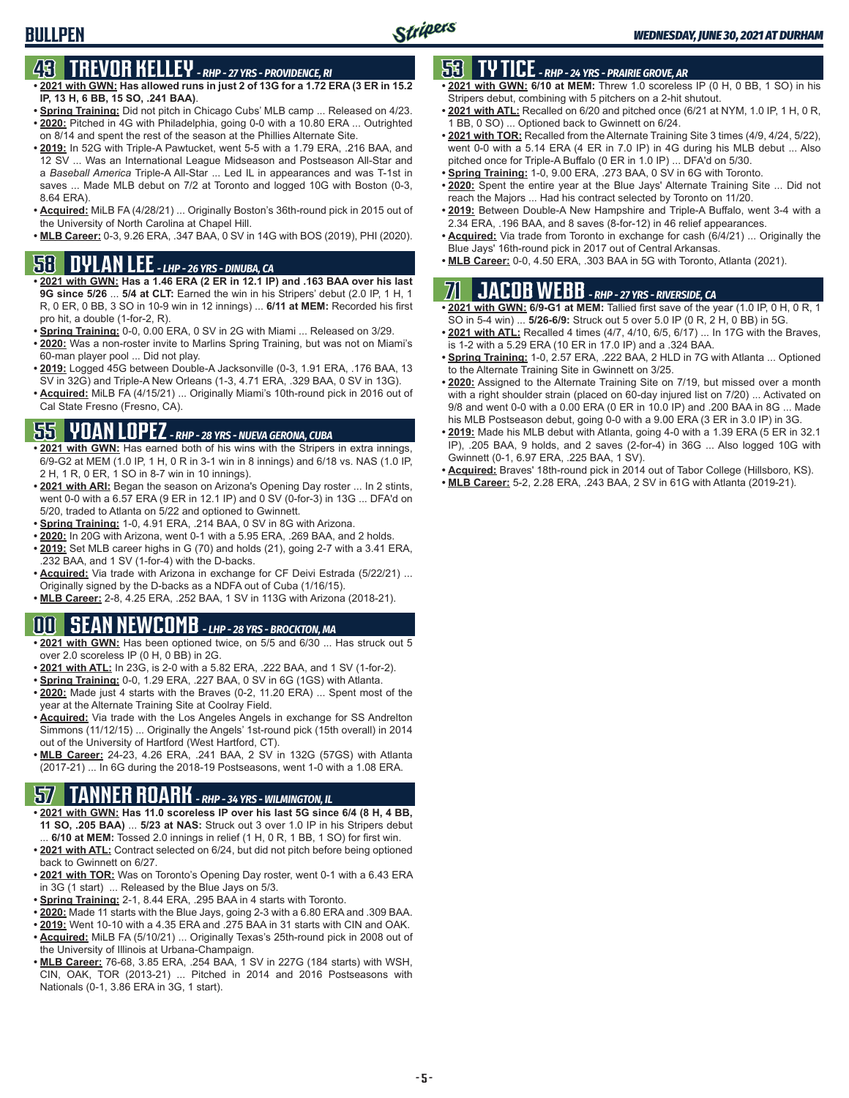# **43 TREVOR KELLEY** *- RHP - 27 YRS - PROVIDENCE, RI*

- **• 2021 with GWN: Has allowed runs in just 2 of 13G for a 1.72 ERA (3 ER in 15.2 IP, 13 H, 6 BB, 15 SO, .241 BAA)**.
- **• Spring Training:** Did not pitch in Chicago Cubs' MLB camp ... Released on 4/23. **• 2020:** Pitched in 4G with Philadelphia, going 0-0 with a 10.80 ERA ... Outrighted
- on 8/14 and spent the rest of the season at the Phillies Alternate Site. **• 2019:** In 52G with Triple-A Pawtucket, went 5-5 with a 1.79 ERA, .216 BAA, and
- 12 SV ... Was an International League Midseason and Postseason All-Star and a *Baseball America* Triple-A All-Star ... Led IL in appearances and was T-1st in saves ... Made MLB debut on 7/2 at Toronto and logged 10G with Boston (0-3, 8.64 ERA).
- **• Acquired:** MiLB FA (4/28/21) ... Originally Boston's 36th-round pick in 2015 out of the University of North Carolina at Chapel Hill.
- **• MLB Career:** 0-3, 9.26 ERA, .347 BAA, 0 SV in 14G with BOS (2019), PHI (2020).

#### **58 DYLAN LEE** *- LHP - 26 YRS - DINUBA, CA*

- **• 2021 with GWN: Has a 1.46 ERA (2 ER in 12.1 IP) and .163 BAA over his last 9G since 5/26** ... **5/4 at CLT:** Earned the win in his Stripers' debut (2.0 IP, 1 H, 1 R, 0 ER, 0 BB, 3 SO in 10-9 win in 12 innings) ... **6/11 at MEM:** Recorded his first pro hit, a double (1-for-2, R).
- **• Spring Training:** 0-0, 0.00 ERA, 0 SV in 2G with Miami ... Released on 3/29.
- **• 2020:** Was a non-roster invite to Marlins Spring Training, but was not on Miami's 60-man player pool ... Did not play.
- **• 2019:** Logged 45G between Double-A Jacksonville (0-3, 1.91 ERA, .176 BAA, 13 SV in 32G) and Triple-A New Orleans (1-3, 4.71 ERA, .329 BAA, 0 SV in 13G).
- **• Acquired:** MiLB FA (4/15/21) ... Originally Miami's 10th-round pick in 2016 out of Cal State Fresno (Fresno, CA).

#### **55 YOAN LOPEZ** *- RHP - 28 YRS - NUEVA GERONA, CUBA*

- **• 2021 with GWN:** Has earned both of his wins with the Stripers in extra innings, 6/9-G2 at MEM (1.0 IP, 1 H, 0 R in 3-1 win in 8 innings) and 6/18 vs. NAS (1.0 IP, 2 H, 1 R, 0 ER, 1 SO in 8-7 win in 10 innings).
- **• 2021 with ARI:** Began the season on Arizona's Opening Day roster ... In 2 stints, went 0-0 with a 6.57 ERA (9 ER in 12.1 IP) and 0 SV (0-for-3) in 13G ... DFA'd on 5/20, traded to Atlanta on 5/22 and optioned to Gwinnett.
- **• Spring Training:** 1-0, 4.91 ERA, .214 BAA, 0 SV in 8G with Arizona.
- **• 2020:** In 20G with Arizona, went 0-1 with a 5.95 ERA, .269 BAA, and 2 holds.
- **• 2019:** Set MLB career highs in G (70) and holds (21), going 2-7 with a 3.41 ERA, .232 BAA, and 1 SV (1-for-4) with the D-backs.
- **• Acquired:** Via trade with Arizona in exchange for CF Deivi Estrada (5/22/21) ... Originally signed by the D-backs as a NDFA out of Cuba (1/16/15).
- **• MLB Career:** 2-8, 4.25 ERA, .252 BAA, 1 SV in 113G with Arizona (2018-21).

### **00 SEAN NEWCOMB** *- LHP - 28 YRS - BROCKTON, MA*

- **• 2021 with GWN:** Has been optioned twice, on 5/5 and 6/30 ... Has struck out 5 over 2.0 scoreless IP (0 H, 0 BB) in 2G.
- **• 2021 with ATL:** In 23G, is 2-0 with a 5.82 ERA, .222 BAA, and 1 SV (1-for-2).
- **• Spring Training:** 0-0, 1.29 ERA, .227 BAA, 0 SV in 6G (1GS) with Atlanta. **• 2020:** Made just 4 starts with the Braves (0-2, 11.20 ERA) ... Spent most of the year at the Alternate Training Site at Coolray Field.
- **• Acquired:** Via trade with the Los Angeles Angels in exchange for SS Andrelton Simmons (11/12/15) ... Originally the Angels' 1st-round pick (15th overall) in 2014 out of the University of Hartford (West Hartford, CT).
- **• MLB Career:** 24-23, 4.26 ERA, .241 BAA, 2 SV in 132G (57GS) with Atlanta (2017-21) ... In 6G during the 2018-19 Postseasons, went 1-0 with a 1.08 ERA.

# **57 TANNER ROARK** *- RHP - 34 YRS - WILMINGTON, IL*

- **• 2021 with GWN: Has 11.0 scoreless IP over his last 5G since 6/4 (8 H, 4 BB, 11 SO, .205 BAA)** ... **5/23 at NAS:** Struck out 3 over 1.0 IP in his Stripers debut ... **6/10 at MEM:** Tossed 2.0 innings in relief (1 H, 0 R, 1 BB, 1 SO) for first win.
- **• 2021 with ATL:** Contract selected on 6/24, but did not pitch before being optioned back to Gwinnett on 6/27.
- **• 2021 with TOR:** Was on Toronto's Opening Day roster, went 0-1 with a 6.43 ERA in 3G (1 start) ... Released by the Blue Jays on 5/3.
- **• Spring Training:** 2-1, 8.44 ERA, .295 BAA in 4 starts with Toronto.
- **• 2020:** Made 11 starts with the Blue Jays, going 2-3 with a 6.80 ERA and .309 BAA.
- **• 2019:** Went 10-10 with a 4.35 ERA and .275 BAA in 31 starts with CIN and OAK. **• Acquired:** MiLB FA (5/10/21) ... Originally Texas's 25th-round pick in 2008 out of
- the University of Illinois at Urbana-Champaign.
- **• MLB Career:** 76-68, 3.85 ERA, .254 BAA, 1 SV in 227G (184 starts) with WSH, CIN, OAK, TOR (2013-21) ... Pitched in 2014 and 2016 Postseasons with Nationals (0-1, 3.86 ERA in 3G, 1 start).

### **53 TY TICE** *- RHP - 24 YRS - PRAIRIE GROVE, AR*

- **• 2021 with GWN: 6/10 at MEM:** Threw 1.0 scoreless IP (0 H, 0 BB, 1 SO) in his Stripers debut, combining with 5 pitchers on a 2-hit shutout.
- **• 2021 with ATL:** Recalled on 6/20 and pitched once (6/21 at NYM, 1.0 IP, 1 H, 0 R, 1 BB, 0 SO) ... Optioned back to Gwinnett on 6/24.
- **• 2021 with TOR:** Recalled from the Alternate Training Site 3 times (4/9, 4/24, 5/22), went 0-0 with a 5.14 ERA (4 ER in 7.0 IP) in 4G during his MLB debut ... Also pitched once for Triple-A Buffalo (0 ER in 1.0 IP) ... DFA'd on 5/30.
- **• Spring Training:** 1-0, 9.00 ERA, .273 BAA, 0 SV in 6G with Toronto.
- **• 2020:** Spent the entire year at the Blue Jays' Alternate Training Site ... Did not reach the Majors ... Had his contract selected by Toronto on 11/20.
- **• 2019:** Between Double-A New Hampshire and Triple-A Buffalo, went 3-4 with a 2.34 ERA, .196 BAA, and 8 saves (8-for-12) in 46 relief appearances.
- **• Acquired:** Via trade from Toronto in exchange for cash (6/4/21) ... Originally the Blue Jays' 16th-round pick in 2017 out of Central Arkansas.
- **• MLB Career:** 0-0, 4.50 ERA, .303 BAA in 5G with Toronto, Atlanta (2021).

# **71 JACOB WEBB** *- RHP - 27 YRS - RIVERSIDE, CA*

- **• 2021 with GWN: 6/9-G1 at MEM:** Tallied first save of the year (1.0 IP, 0 H, 0 R, 1 SO in 5-4 win) ... **5/26-6/9:** Struck out 5 over 5.0 IP (0 R, 2 H, 0 BB) in 5G.
- **• 2021 with ATL:** Recalled 4 times (4/7, 4/10, 6/5, 6/17) ... In 17G with the Braves, is 1-2 with a 5.29 ERA (10 ER in 17.0 IP) and a .324 BAA.
- **• Spring Training:** 1-0, 2.57 ERA, .222 BAA, 2 HLD in 7G with Atlanta ... Optioned to the Alternate Training Site in Gwinnett on 3/25.
- **• 2020:** Assigned to the Alternate Training Site on 7/19, but missed over a month with a right shoulder strain (placed on 60-day injured list on 7/20) ... Activated on 9/8 and went 0-0 with a 0.00 ERA (0 ER in 10.0 IP) and .200 BAA in 8G ... Made his MLB Postseason debut, going 0-0 with a 9.00 ERA (3 ER in 3.0 IP) in 3G.
- **• 2019:** Made his MLB debut with Atlanta, going 4-0 with a 1.39 ERA (5 ER in 32.1 IP), .205 BAA, 9 holds, and 2 saves (2-for-4) in 36G ... Also logged 10G with Gwinnett (0-1, 6.97 ERA, .225 BAA, 1 SV).
- **• Acquired:** Braves' 18th-round pick in 2014 out of Tabor College (Hillsboro, KS).
- **• MLB Career:** 5-2, 2.28 ERA, .243 BAA, 2 SV in 61G with Atlanta (2019-21).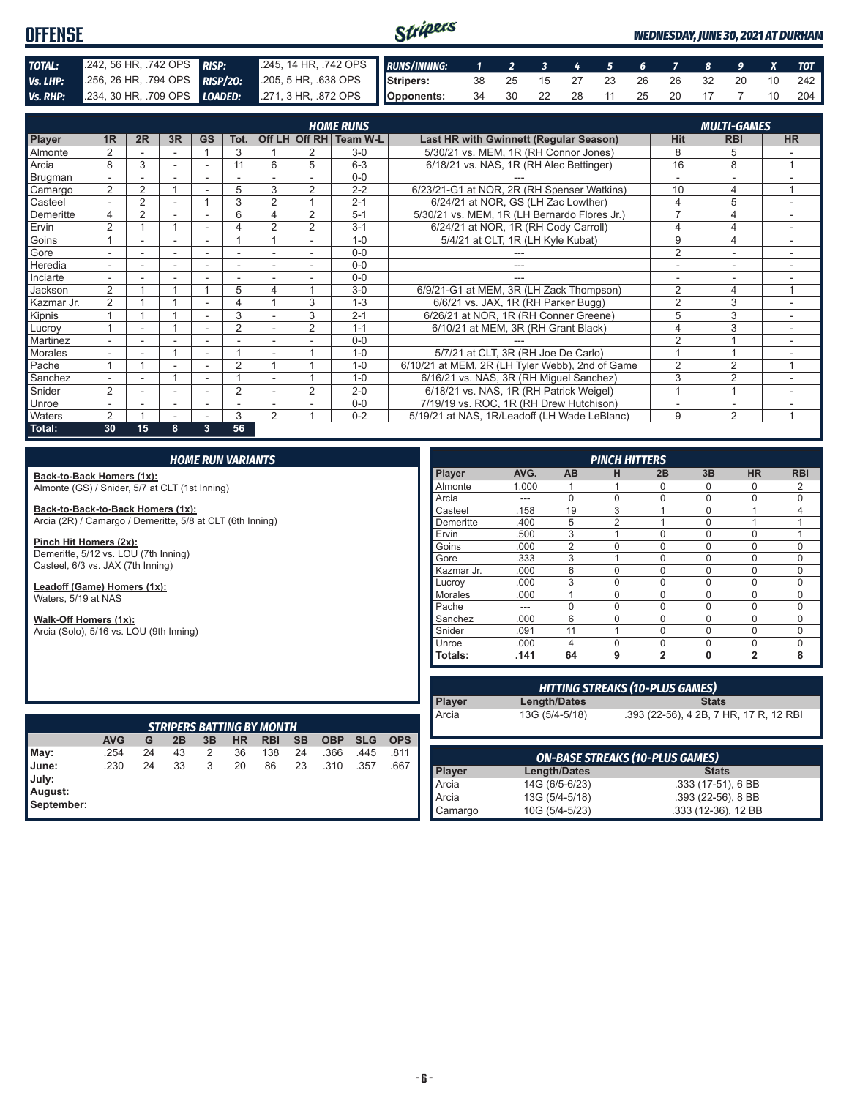#### Stripers **OFFENSE** *WEDNESDAY, JUNE 30, 2021 AT DURHAM TOTAL:* .242, 56 HR, .742 OPS *RISP:* .245, 14 HR, .742 OPS *RUNS/INNING: 1 2 3 4 5 6 7 8 9 X TOT Vs. LHP:* .256, 26 HR, .794 OPS *RISP/2O:* .205, 5 HR, .638 OPS **Stripers:** 38 25 15 27 23 26 26 32 20 10 242 *Vs. RHP:* .234, 30 HR, .709 OPS *LOADED:* .271, 3 HR, .872 OPS **Opponents:** 34 30 22 28 11 25 20 17 7 10 204

|                |                          |                |                          |                          |                          |                |                | <b>HOME RUNS</b>       |                                                 |                | <b>MULTI-GAMES</b> |                |
|----------------|--------------------------|----------------|--------------------------|--------------------------|--------------------------|----------------|----------------|------------------------|-------------------------------------------------|----------------|--------------------|----------------|
| <b>Player</b>  | 1R                       | 2R             | 3R                       | <b>GS</b>                | Tot.                     |                |                | Off LH Off RH Team W-L | Last HR with Gwinnett (Regular Season)          | <b>Hit</b>     | <b>RBI</b>         | <b>HR</b>      |
| Almonte        | $\overline{2}$           |                |                          |                          | 3                        |                |                | $3-0$                  | 5/30/21 vs. MEM, 1R (RH Connor Jones)           | 8              | 5                  |                |
| Arcia          | 8                        | 3              |                          |                          | 11                       | 6              | 5              | $6 - 3$                | 6/18/21 vs. NAS, 1R (RH Alec Bettinger)         | 16             | 8                  | $\overline{A}$ |
| <b>Brugman</b> | $\overline{\phantom{0}}$ |                |                          |                          |                          |                |                | $0 - 0$                |                                                 |                |                    |                |
| Camargo        | 2                        | $\overline{2}$ |                          |                          | 5                        | 3              | $\overline{2}$ | $2 - 2$                | 6/23/21-G1 at NOR, 2R (RH Spenser Watkins)      | 10             | 4                  | 4              |
| Casteel        |                          | 2              |                          |                          | 3                        | 2              |                | $2 - 1$                | 6/24/21 at NOR. GS (LH Zac Lowther)             | 4              | 5                  |                |
| Demeritte      | 4                        | $\overline{2}$ |                          |                          | 6                        | 4              | $\overline{2}$ | $5 - 1$                | 5/30/21 vs. MEM, 1R (LH Bernardo Flores Jr.)    |                | 4                  |                |
| Ervin          | $\overline{2}$           |                |                          |                          | 4                        | $\overline{2}$ | $\overline{2}$ | $3 - 1$                | 6/24/21 at NOR, 1R (RH Cody Carroll)            | 4              | 4                  | ٠              |
| Goins          |                          | ۰              | $\overline{\phantom{a}}$ | $\overline{\phantom{a}}$ |                          |                | ٠.             | $1 - 0$                | 5/4/21 at CLT, 1R (LH Kyle Kubat)               | 9              | 4                  | ۰              |
| Gore           |                          |                |                          |                          |                          |                |                | $0 - 0$                |                                                 | 2              |                    |                |
| Heredia        |                          |                |                          |                          |                          |                |                | $0 - 0$                |                                                 |                |                    |                |
| Inciarte       |                          |                |                          |                          |                          |                |                | $0 - 0$                |                                                 |                |                    |                |
| Jackson        | $\mathfrak{D}$           |                |                          |                          | 5                        | 4              |                | $3-0$                  | 6/9/21-G1 at MEM, 3R (LH Zack Thompson)         | $\overline{2}$ | 4                  | 4              |
| Kazmar Jr.     | 2                        |                |                          |                          | 4                        |                | 3              | $1 - 3$                | 6/6/21 vs. JAX, 1R (RH Parker Bugg)             | $\overline{2}$ | 3                  |                |
| Kipnis         |                          |                |                          |                          | 3                        |                | 3              | $2 - 1$                | 6/26/21 at NOR, 1R (RH Conner Greene)           | 5              | 3                  |                |
| Lucroy         |                          |                |                          |                          | $\overline{2}$           |                | $\overline{2}$ | $1 - 1$                | 6/10/21 at MEM, 3R (RH Grant Black)             | 4              | 3                  | $\sim$         |
| Martinez       | ۰.                       | ۰              |                          | $\overline{\phantom{a}}$ |                          |                |                | $0 - 0$                |                                                 | $\mathfrak{p}$ |                    |                |
| <b>Morales</b> |                          | ۰              |                          | $\overline{\phantom{a}}$ |                          |                |                | $1 - 0$                | 5/7/21 at CLT, 3R (RH Joe De Carlo)             |                |                    |                |
| Pache          |                          |                |                          |                          | $\overline{2}$           |                |                | $1 - 0$                | 6/10/21 at MEM, 2R (LH Tyler Webb), 2nd of Game | 2              | $\overline{2}$     |                |
| Sanchez        |                          |                |                          |                          |                          |                |                | $1 - 0$                | 6/16/21 vs. NAS, 3R (RH Miguel Sanchez)         | 3              | $\overline{2}$     |                |
| Snider         | 2                        |                |                          |                          | $\overline{2}$           |                | $\overline{2}$ | $2 - 0$                | 6/18/21 vs. NAS, 1R (RH Patrick Weigel)         |                |                    |                |
| Unroe          |                          | ۰              | $\overline{\phantom{a}}$ | $\overline{\phantom{a}}$ | $\overline{\phantom{0}}$ |                |                | $0 - 0$                | 7/19/19 vs. ROC, 1R (RH Drew Hutchison)         |                | ۰                  |                |
| Waters         | $\overline{2}$           |                |                          |                          | 3                        | $\overline{2}$ |                | $0 - 2$                | 5/19/21 at NAS, 1R/Leadoff (LH Wade LeBlanc)    | 9              | $\overline{2}$     | 4              |
| Total:         | 30                       | 15             | 8                        | 3                        | 56                       |                |                |                        |                                                 |                |                    |                |

#### *HOME RUN VARIANTS*

**Back-to-Back Homers (1x):** Almonte (GS) / Snider, 5/7 at CLT (1st Inning)

**Back-to-Back-to-Back Homers (1x):** Arcia (2R) / Camargo / Demeritte, 5/8 at CLT (6th Inning)

**Pinch Hit Homers (2x):** Demeritte, 5/12 vs. LOU (7th Inning) Casteel, 6/3 vs. JAX (7th Inning)

**Leadoff (Game) Homers (1x):** Waters, 5/19 at NAS

**Walk-Off Homers (1x):** Arcia (Solo), 5/16 vs. LOU (9th Inning)

*PINCH HITTERS* **Player AVG. AB H 2B 3B HR RBI** Almonte 1.000 1 1 0 0 0 2 Arcia --- 0 0 0 0 0 0 Casteel .158 19 3 1 0 1 4 Demeritte .400 5 2 1 0 1 1 Ervin .500 3 1 0 0 0 1 Goins .000 2 0 0 0 0 0 Gore 333 3 1 0 0 0 0 Kazmar Jr. 000 6 0 0 0 0 0 0<br>Lucrov 000 3 0 0 0 0 0 Lucroy .000 3 0 0 0 0 0 Morales .000 1 0 0 0 0 0 Pache --- 0 0 0 0 0 0 0 Sanchez .000 6 0 0 0 0 0 0 Snider .091 11 1 0 0 0 0 Unroe .000 4 0 0 0 0 0 **Totals: .141 64 9 2 0 2 8**

|                                                 |            |    |    |    |    | <b>STRIPERS BATTING BY MONTH</b> |           |            |            |            |
|-------------------------------------------------|------------|----|----|----|----|----------------------------------|-----------|------------|------------|------------|
|                                                 | <b>AVG</b> | G  | 2B | 3B | HR | <b>RBI</b>                       | <b>SB</b> | <b>OBP</b> | <b>SLG</b> | <b>OPS</b> |
|                                                 | .254       | 24 | 43 | 2  | 36 | 138                              | 24        | .366       | .445       | .811       |
| May:<br>June:<br>July:<br>August:<br>September: | .230       | 24 | 33 | 3  | 20 | 86                               | 23        | .310       | .357       | .667       |

| <b>HITTING STREAKS (10-PLUS GAMES)</b> |                     |                                        |  |  |
|----------------------------------------|---------------------|----------------------------------------|--|--|
| <b>Player</b>                          | <b>Length/Dates</b> | <b>Stats</b>                           |  |  |
| Arcia                                  | 13G (5/4-5/18)      | .393 (22-56), 4 2B, 7 HR, 17 R, 12 RBI |  |  |
|                                        |                     | <b>ON-BASE STREAKS (10-PLUS GAMES)</b> |  |  |
|                                        | <b>Length/Dates</b> | <b>Stats</b>                           |  |  |
| Player<br>Arcia                        | 14G (6/5-6/23)      | .333 (17-51), 6 BB                     |  |  |

.333 (12-36), 12 BB

Arcia 13G (5/4-5/18) .393 (22-56), 8 BB<br>Camargo 10G (5/4-5/23) .333 (12-36), 12 BB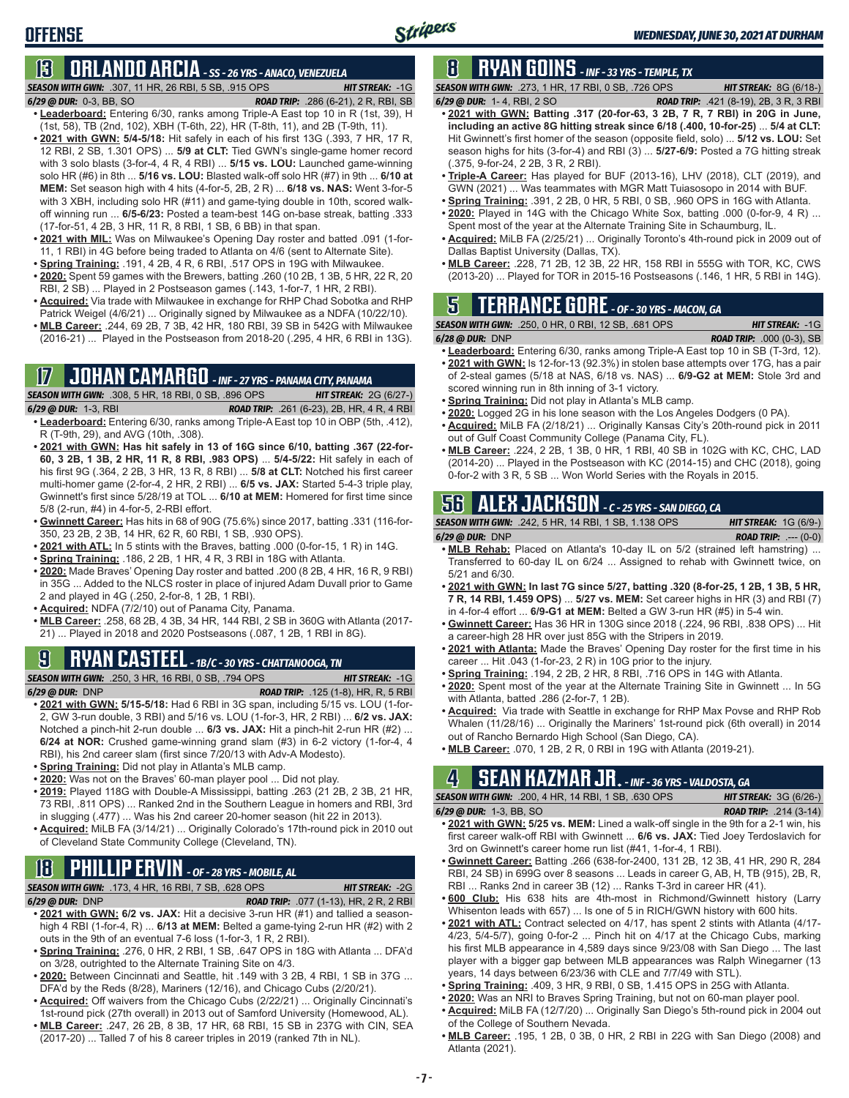# **13 ORLANDO ARCIA** *- SS - 26 YRS - ANACO, VENEZUELA*

*SEASON WITH GWN:*.307, 11 HR, 26 RBI, 5 SB, .915 OPS *HIT STREAK:* -1G

**OFFENSE**

- *6/29 @ DUR:*0-3, BB, SO *ROAD TRIP:* .286 (6-21), 2 R, RBI, SB **• Leaderboard:** Entering 6/30, ranks among Triple-A East top 10 in R (1st, 39), H (1st, 58), TB (2nd, 102), XBH (T-6th, 22), HR (T-8th, 11), and 2B (T-9th, 11).
- **• 2021 with GWN: 5/4-5/18:** Hit safely in each of his first 13G (.393, 7 HR, 17 R, 12 RBI, 2 SB, 1.301 OPS) ... **5/9 at CLT:** Tied GWN's single-game homer record with 3 solo blasts (3-for-4, 4 R, 4 RBI) ... **5/15 vs. LOU:** Launched game-winning solo HR (#6) in 8th ... **5/16 vs. LOU:** Blasted walk-off solo HR (#7) in 9th ... **6/10 at MEM:** Set season high with 4 hits (4-for-5, 2B, 2 R) ... **6/18 vs. NAS:** Went 3-for-5 with 3 XBH, including solo HR (#11) and game-tying double in 10th, scored walkoff winning run ... **6/5-6/23:** Posted a team-best 14G on-base streak, batting .333 (17-for-51, 4 2B, 3 HR, 11 R, 8 RBI, 1 SB, 6 BB) in that span.
- **• 2021 with MIL:** Was on Milwaukee's Opening Day roster and batted .091 (1-for-11, 1 RBI) in 4G before being traded to Atlanta on 4/6 (sent to Alternate Site).
- **• Spring Training:** .191, 4 2B, 4 R, 6 RBI, .517 OPS in 19G with Milwaukee. **• 2020:** Spent 59 games with the Brewers, batting .260 (10 2B, 1 3B, 5 HR, 22 R, 20
- RBI, 2 SB) ... Played in 2 Postseason games (.143, 1-for-7, 1 HR, 2 RBI).
- **• Acquired:** Via trade with Milwaukee in exchange for RHP Chad Sobotka and RHP Patrick Weigel (4/6/21) ... Originally signed by Milwaukee as a NDFA (10/22/10).
- **• MLB Career:** .244, 69 2B, 7 3B, 42 HR, 180 RBI, 39 SB in 542G with Milwaukee (2016-21) ... Played in the Postseason from 2018-20 (.295, 4 HR, 6 RBI in 13G).

### **17 JOHAN CAMARGO** *- INF - 27 YRS - PANAMA CITY, PANAMA*

*SEASON WITH GWN:*.308, 5 HR, 18 RBI, 0 SB, .896 OPS *HIT STREAK:* 2G (6/27-) *6/29 @ DUR:* 1-3, RBI *ROAD TRIP:* .261 (6-23), 2B, HR, 4 R, 4 RBI **• Leaderboard:** Entering 6/30, ranks among Triple-A East top 10 in OBP (5th, .412),

- R (T-9th, 29), and AVG (10th, .308). **• 2021 with GWN: Has hit safely in 13 of 16G since 6/10, batting .367 (22-for-**
- **60, 3 2B, 1 3B, 2 HR, 11 R, 8 RBI, .983 OPS)** ... **5/4-5/22:** Hit safely in each of his first 9G (.364, 2 2B, 3 HR, 13 R, 8 RBI) ... **5/8 at CLT:** Notched his first career multi-homer game (2-for-4, 2 HR, 2 RBI) ... **6/5 vs. JAX:** Started 5-4-3 triple play, Gwinnett's first since 5/28/19 at TOL ... **6/10 at MEM:** Homered for first time since 5/8 (2-run, #4) in 4-for-5, 2-RBI effort.
- **• Gwinnett Career:** Has hits in 68 of 90G (75.6%) since 2017, batting .331 (116-for-350, 23 2B, 2 3B, 14 HR, 62 R, 60 RBI, 1 SB, .930 OPS).
- **• 2021 with ATL:** In 5 stints with the Braves, batting .000 (0-for-15, 1 R) in 14G.
- **• Spring Training:** .186, 2 2B, 1 HR, 4 R, 3 RBI in 18G with Atlanta.
- **• 2020:** Made Braves' Opening Day roster and batted .200 (8 2B, 4 HR, 16 R, 9 RBI) in 35G ... Added to the NLCS roster in place of injured Adam Duvall prior to Game 2 and played in 4G (.250, 2-for-8, 1 2B, 1 RBI).
- **• Acquired:** NDFA (7/2/10) out of Panama City, Panama.
- **• MLB Career:** .258, 68 2B, 4 3B, 34 HR, 144 RBI, 2 SB in 360G with Atlanta (2017- 21) ... Played in 2018 and 2020 Postseasons (.087, 1 2B, 1 RBI in 8G).

## **9 RYAN CASTEEL** *- 1B/C - 30 YRS - CHATTANOOGA, TN*

- *SEASON WITH GWN:*.250, 3 HR, 16 RBI, 0 SB, .794 OPS *HIT STREAK:* -1G *6/29 @ DUR:*DNP *ROAD TRIP:* .125 (1-8), HR, R, 5 RBI
- **• 2021 with GWN: 5/15-5/18:** Had 6 RBI in 3G span, including 5/15 vs. LOU (1-for-2, GW 3-run double, 3 RBI) and 5/16 vs. LOU (1-for-3, HR, 2 RBI) ... **6/2 vs. JAX:** Notched a pinch-hit 2-run double ... **6/3 vs. JAX:** Hit a pinch-hit 2-run HR (#2) ... **6/24 at NOR:** Crushed game-winning grand slam (#3) in 6-2 victory (1-for-4, 4 RBI), his 2nd career slam (first since 7/20/13 with Adv-A Modesto).
- **• Spring Training:** Did not play in Atlanta's MLB camp.
- **• 2020:** Was not on the Braves' 60-man player pool ... Did not play.
- **• 2019:** Played 118G with Double-A Mississippi, batting .263 (21 2B, 2 3B, 21 HR, 73 RBI, .811 OPS) ... Ranked 2nd in the Southern League in homers and RBI, 3rd in slugging (.477) ... Was his 2nd career 20-homer season (hit 22 in 2013).
- **• Acquired:** MiLB FA (3/14/21) ... Originally Colorado's 17th-round pick in 2010 out of Cleveland State Community College (Cleveland, TN).

### **18 PHILLIP ERVIN** *- OF - 28 YRS - MOBILE, AL*

*SEASON WITH GWN:*.173, 4 HR, 16 RBI, 7 SB, .628 OPS *HIT STREAK:* -2G

*6/29 @ DUR:*DNP *ROAD TRIP:* .077 (1-13), HR, 2 R, 2 RBI

- **• 2021 with GWN: 6/2 vs. JAX:** Hit a decisive 3-run HR (#1) and tallied a seasonhigh 4 RBI (1-for-4, R) ... **6/13 at MEM:** Belted a game-tying 2-run HR (#2) with 2 outs in the 9th of an eventual 7-6 loss (1-for-3, 1 R, 2 RBI).
- **• Spring Training:** .276, 0 HR, 2 RBI, 1 SB, .647 OPS in 18G with Atlanta ... DFA'd on 3/28, outrighted to the Alternate Training Site on 4/3.
- **• 2020:** Between Cincinnati and Seattle, hit .149 with 3 2B, 4 RBI, 1 SB in 37G ... DFA'd by the Reds (8/28), Mariners (12/16), and Chicago Cubs (2/20/21).
- **• Acquired:** Off waivers from the Chicago Cubs (2/22/21) ... Originally Cincinnati's
- 1st-round pick (27th overall) in 2013 out of Samford University (Homewood, AL). **• MLB Career:** .247, 26 2B, 8 3B, 17 HR, 68 RBI, 15 SB in 237G with CIN, SEA
- (2017-20) ... Talled 7 of his 8 career triples in 2019 (ranked 7th in NL).

## **8 RYAN GOINS** *- INF - 33 YRS - TEMPLE, TX*

*SEASON WITH GWN:*.273, 1 HR, 17 RBI, 0 SB, .726 OPS *HIT STREAK:* 8G (6/18-)

- *6/29 @ DUR:*1- 4, RBI, 2 SO *ROAD TRIP:* .421 (8-19), 2B, 3 R, 3 RBI **• 2021 with GWN: Batting .317 (20-for-63, 3 2B, 7 R, 7 RBI) in 20G in June, including an active 8G hitting streak since 6/18 (.400, 10-for-25)** ... **5/4 at CLT:** Hit Gwinnett's first homer of the season (opposite field, solo) ... **5/12 vs. LOU:** Set season highs for hits (3-for-4) and RBI (3) ... **5/27-6/9:** Posted a 7G hitting streak (.375, 9-for-24, 2 2B, 3 R, 2 RBI).
- **• Triple-A Career:** Has played for BUF (2013-16), LHV (2018), CLT (2019), and GWN (2021) ... Was teammates with MGR Matt Tuiasosopo in 2014 with BUF.
- **• Spring Training:** .391, 2 2B, 0 HR, 5 RBI, 0 SB, .960 OPS in 16G with Atlanta.
- **• 2020:** Played in 14G with the Chicago White Sox, batting .000 (0-for-9, 4 R) ... Spent most of the year at the Alternate Training Site in Schaumburg, IL.
- **• Acquired:** MiLB FA (2/25/21) ... Originally Toronto's 4th-round pick in 2009 out of Dallas Baptist University (Dallas, TX).
- **• MLB Career:** .228, 71 2B, 12 3B, 22 HR, 158 RBI in 555G with TOR, KC, CWS (2013-20) ... Played for TOR in 2015-16 Postseasons (.146, 1 HR, 5 RBI in 14G).

### **5 TERRANCE GORE** *- OF - 30 YRS - MACON, GA*

*SEASON WITH GWN:*.250, 0 HR, 0 RBI, 12 SB, .681 OPS *HIT STREAK:* -1G

- *6/28 @ DUR:*DNP *ROAD TRIP:* .000 (0-3), SB **• Leaderboard:** Entering 6/30, ranks among Triple-A East top 10 in SB (T-3rd, 12). **• 2021 with GWN:** Is 12-for-13 (92.3%) in stolen base attempts over 17G, has a pair of 2-steal games (5/18 at NAS, 6/18 vs. NAS) ... **6/9-G2 at MEM:** Stole 3rd and scored winning run in 8th inning of 3-1 victory.
- **• Spring Training:** Did not play in Atlanta's MLB camp.
- **• 2020:** Logged 2G in his lone season with the Los Angeles Dodgers (0 PA).
- **• Acquired:** MiLB FA (2/18/21) ... Originally Kansas City's 20th-round pick in 2011 out of Gulf Coast Community College (Panama City, FL).
- **• MLB Career:** .224, 2 2B, 1 3B, 0 HR, 1 RBI, 40 SB in 102G with KC, CHC, LAD (2014-20) ... Played in the Postseason with KC (2014-15) and CHC (2018), going 0-for-2 with 3 R, 5 SB ... Won World Series with the Royals in 2015.

# **56 ALEX JACKSON** *- C - 25 YRS - SAN DIEGO, CA*

|                   | <b>SEASON WITH GWN: .242, 5 HR, 14 RBI, 1 SB, 1.138 OPS</b> | <b>HIT STREAK:</b> $1G(6/9-)$ |
|-------------------|-------------------------------------------------------------|-------------------------------|
| $6/29$ @ DUR: DNP |                                                             | <b>ROAD TRIP:</b> $---(0-0)$  |

- **• MLB Rehab:** Placed on Atlanta's 10-day IL on 5/2 (strained left hamstring) ... Transferred to 60-day IL on 6/24 ... Assigned to rehab with Gwinnett twice, on 5/21 and 6/30.
- **• 2021 with GWN: In last 7G since 5/27, batting .320 (8-for-25, 1 2B, 1 3B, 5 HR, 7 R, 14 RBI, 1.459 OPS)** ... **5/27 vs. MEM:** Set career highs in HR (3) and RBI (7) in 4-for-4 effort ... **6/9-G1 at MEM:** Belted a GW 3-run HR (#5) in 5-4 win.
- **• Gwinnett Career:** Has 36 HR in 130G since 2018 (.224, 96 RBI, .838 OPS) ... Hit a career-high 28 HR over just 85G with the Stripers in 2019.
- **• 2021 with Atlanta:** Made the Braves' Opening Day roster for the first time in his career ... Hit .043 (1-for-23, 2 R) in 10G prior to the injury.
- **• Spring Training:** .194, 2 2B, 2 HR, 8 RBI, .716 OPS in 14G with Atlanta.
- **• 2020:** Spent most of the year at the Alternate Training Site in Gwinnett ... In 5G with Atlanta, batted .286 (2-for-7, 1 2B).
- **• Acquired:** Via trade with Seattle in exchange for RHP Max Povse and RHP Rob Whalen (11/28/16) ... Originally the Mariners' 1st-round pick (6th overall) in 2014 out of Rancho Bernardo High School (San Diego, CA).
- **• MLB Career:** .070, 1 2B, 2 R, 0 RBI in 19G with Atlanta (2019-21).

# **4 SEAN KAZMAR JR.** *- INF - 36 YRS - VALDOSTA, GA*

*SEASON WITH GWN:*.200, 4 HR, 14 RBI, 1 SB, .630 OPS *HIT STREAK:* 3G (6/26-)

| 6/29 @ DUR: 1-3, BB, SO | <b>ROAD TRIP:</b> $.214(3-14)$                                                       |
|-------------------------|--------------------------------------------------------------------------------------|
|                         | • 2021 with GWN: 5/25 vs. MEM: Lined a walk-off single in the 9th for a 2-1 win, his |
|                         | first career walk-off RBI with Gwinnett  6/6 vs. JAX: Tied Joey Terdoslavich for     |

- 3rd on Gwinnett's career home run list (#41, 1-for-4, 1 RBI). **• Gwinnett Career:** Batting .266 (638-for-2400, 131 2B, 12 3B, 41 HR, 290 R, 284 RBI, 24 SB) in 699G over 8 seasons ... Leads in career G, AB, H, TB (915), 2B, R, RBI ... Ranks 2nd in career 3B (12) ... Ranks T-3rd in career HR (41).
- **• 600 Club:** His 638 hits are 4th-most in Richmond/Gwinnett history (Larry Whisenton leads with 657) ... Is one of 5 in RICH/GWN history with 600 hits.
- **• 2021 with ATL:** Contract selected on 4/17, has spent 2 stints with Atlanta (4/17- 4/23, 5/4-5/7), going 0-for-2 ... Pinch hit on 4/17 at the Chicago Cubs, marking his first MLB appearance in 4,589 days since 9/23/08 with San Diego ... The last player with a bigger gap between MLB appearances was Ralph Winegarner (13 years, 14 days between 6/23/36 with CLE and 7/7/49 with STL).
- **• Spring Training:** .409, 3 HR, 9 RBI, 0 SB, 1.415 OPS in 25G with Atlanta.
- **• 2020:** Was an NRI to Braves Spring Training, but not on 60-man player pool.
- **• Acquired:** MiLB FA (12/7/20) ... Originally San Diego's 5th-round pick in 2004 out of the College of Southern Nevada.
- **• MLB Career:** .195, 1 2B, 0 3B, 0 HR, 2 RBI in 22G with San Diego (2008) and Atlanta (2021).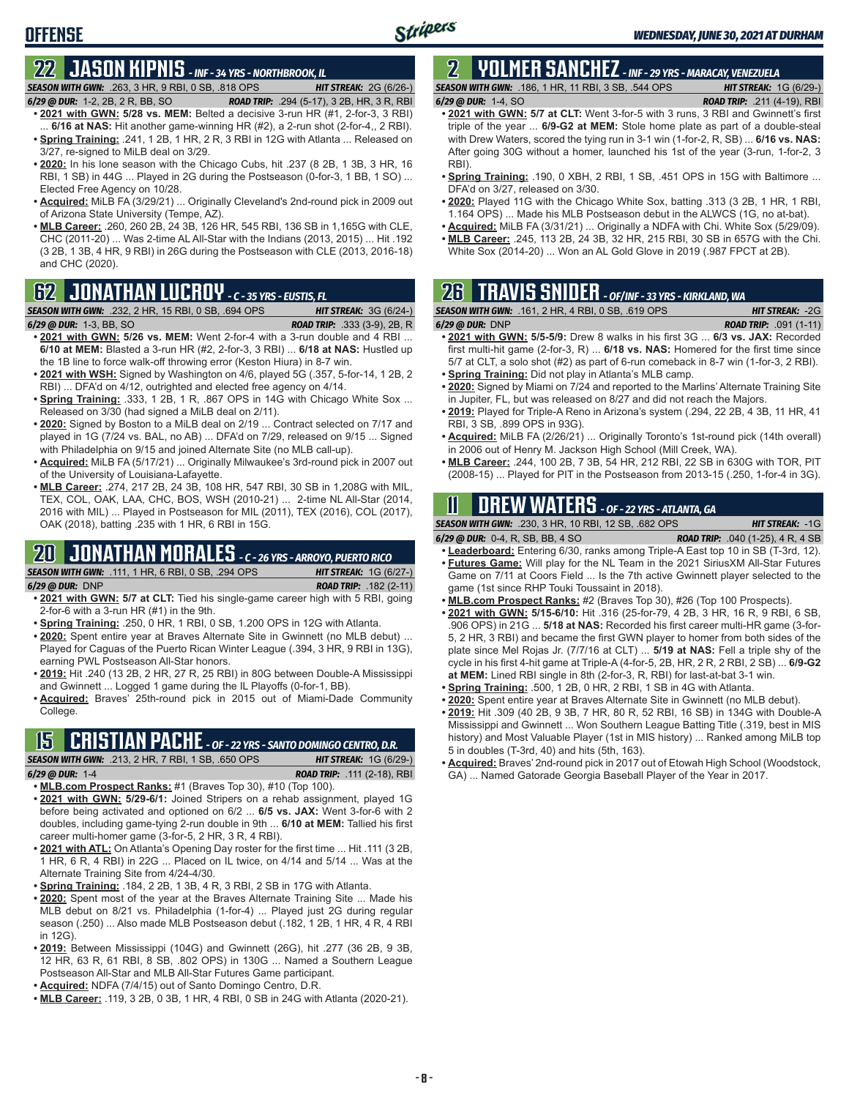# **22 JASON KIPNIS** *- INF - 34 YRS - NORTHBROOK, IL*

**OFFENSE**

*SEASON WITH GWN:*.263, 3 HR, 9 RBI, 0 SB, .818 OPS *HIT STREAK:* 2G (6/26-)

- *6/29 @ DUR:*1-2, 2B, 2 R, BB, SO *ROAD TRIP:* .294 (5-17), 3 2B, HR, 3 R, RBI **• 2021 with GWN: 5/28 vs. MEM:** Belted a decisive 3-run HR (#1, 2-for-3, 3 RBI)
- 6/16 at NAS: Hit another game-winning HR (#2), a 2-run shot (2-for-4,, 2 RBI). **• Spring Training:** .241, 1 2B, 1 HR, 2 R, 3 RBI in 12G with Atlanta ... Released on 3/27, re-signed to MiLB deal on 3/29.
- **• 2020:** In his lone season with the Chicago Cubs, hit .237 (8 2B, 1 3B, 3 HR, 16 RBI, 1 SB) in 44G ... Played in 2G during the Postseason (0-for-3, 1 BB, 1 SO) ... Elected Free Agency on 10/28.
- **• Acquired:** MiLB FA (3/29/21) ... Originally Cleveland's 2nd-round pick in 2009 out of Arizona State University (Tempe, AZ).
- **• MLB Career:** .260, 260 2B, 24 3B, 126 HR, 545 RBI, 136 SB in 1,165G with CLE, CHC (2011-20) ... Was 2-time AL All-Star with the Indians (2013, 2015) ... Hit .192 (3 2B, 1 3B, 4 HR, 9 RBI) in 26G during the Postseason with CLE (2013, 2016-18) and CHC (2020).

### **62 JONATHAN LUCROY** *- C - 35 YRS - EUSTIS, FL*

*SEASON WITH GWN:*.232, 2 HR, 15 RBI, 0 SB, .694 OPS *HIT STREAK:* 3G (6/24-)

- *6/29 @ DUR:*1-3, BB, SO *ROAD TRIP:* .333 (3-9), 2B, R **• 2021 with GWN: 5/26 vs. MEM:** Went 2-for-4 with a 3-run double and 4 RBI ... **6/10 at MEM:** Blasted a 3-run HR (#2, 2-for-3, 3 RBI) ... **6/18 at NAS:** Hustled up
- the 1B line to force walk-off throwing error (Keston Hiura) in 8-7 win. **• 2021 with WSH:** Signed by Washington on 4/6, played 5G (.357, 5-for-14, 1 2B, 2
- RBI) ... DFA'd on 4/12, outrighted and elected free agency on 4/14. • **Spring Training:** 333, 1 2B, 1 R, .867 OPS in 14G with Chicago White Sox ...
- Released on 3/30 (had signed a MiLB deal on 2/11).
- **• 2020:** Signed by Boston to a MiLB deal on 2/19 ... Contract selected on 7/17 and played in 1G (7/24 vs. BAL, no AB) ... DFA'd on 7/29, released on 9/15 ... Signed with Philadelphia on 9/15 and joined Alternate Site (no MLB call-up).
- **• Acquired:** MiLB FA (5/17/21) ... Originally Milwaukee's 3rd-round pick in 2007 out of the University of Louisiana-Lafayette.
- **• MLB Career:** .274, 217 2B, 24 3B, 108 HR, 547 RBI, 30 SB in 1,208G with MIL, TEX, COL, OAK, LAA, CHC, BOS, WSH (2010-21) ... 2-time NL All-Star (2014, 2016 with MIL) ... Played in Postseason for MIL (2011), TEX (2016), COL (2017), OAK (2018), batting .235 with 1 HR, 6 RBI in 15G.

#### **20 JONATHAN MORALES** *- C - 26 YRS - ARROYO, PUERTO RICO*

*SEASON WITH GWN:*.111, 1 HR, 6 RBI, 0 SB, .294 OPS *HIT STREAK:* 1G (6/27-) *6/29 @ DUR:*DNP *ROAD TRIP:* .182 (2-11)

- **• 2021 with GWN: 5/7 at CLT:** Tied his single-game career high with 5 RBI, going 2-for-6 with a 3-run HR (#1) in the 9th.
- **• Spring Training:** .250, 0 HR, 1 RBI, 0 SB, 1.200 OPS in 12G with Atlanta.
- **• 2020:** Spent entire year at Braves Alternate Site in Gwinnett (no MLB debut) ... Played for Caguas of the Puerto Rican Winter League (.394, 3 HR, 9 RBI in 13G), earning PWL Postseason All-Star honors.
- **• 2019:** Hit .240 (13 2B, 2 HR, 27 R, 25 RBI) in 80G between Double-A Mississippi and Gwinnett ... Logged 1 game during the IL Playoffs (0-for-1, BB).
- **• Acquired:** Braves' 25th-round pick in 2015 out of Miami-Dade Community College.

## **15 CRISTIAN PACHE** *- OF - 22 YRS - SANTO DOMINGO CENTRO, D.R.*

*SEASON WITH GWN:*.213, 2 HR, 7 RBI, 1 SB, .650 OPS *HIT STREAK:* 1G (6/29-) *6/29 @ DUR:* 1-4 *ROAD TRIP:* .111 (2-18), RBI

- **• MLB.com Prospect Ranks:** #1 (Braves Top 30), #10 (Top 100).
- **• 2021 with GWN: 5/29-6/1:** Joined Stripers on a rehab assignment, played 1G before being activated and optioned on 6/2 ... **6/5 vs. JAX:** Went 3-for-6 with 2 doubles, including game-tying 2-run double in 9th ... **6/10 at MEM:** Tallied his first career multi-homer game (3-for-5, 2 HR, 3 R, 4 RBI).
- **• 2021 with ATL:** On Atlanta's Opening Day roster for the first time ... Hit .111 (3 2B, 1 HR, 6 R, 4 RBI) in 22G ... Placed on IL twice, on 4/14 and 5/14 ... Was at the Alternate Training Site from 4/24-4/30.
- **• Spring Training:** .184, 2 2B, 1 3B, 4 R, 3 RBI, 2 SB in 17G with Atlanta.
- **• 2020:** Spent most of the year at the Braves Alternate Training Site ... Made his MLB debut on 8/21 vs. Philadelphia (1-for-4) ... Played just 2G during regular season (.250) ... Also made MLB Postseason debut (.182, 1 2B, 1 HR, 4 R, 4 RBI in 12G).
- **• 2019:** Between Mississippi (104G) and Gwinnett (26G), hit .277 (36 2B, 9 3B, 12 HR, 63 R, 61 RBI, 8 SB, .802 OPS) in 130G ... Named a Southern League Postseason All-Star and MLB All-Star Futures Game participant.
- **• Acquired:** NDFA (7/4/15) out of Santo Domingo Centro, D.R.
- **• MLB Career:** .119, 3 2B, 0 3B, 1 HR, 4 RBI, 0 SB in 24G with Atlanta (2020-21).

#### **2 YOLMER SANCHEZ** *- INF - 29 YRS - MARACAY, VENEZUELA SEASON WITH GWN:*.186, 1 HR, 11 RBI, 3 SB, .544 OPS *HIT STREAK:* 1G (6/29-)

*6/29 @ DUR:*1-4, SO *ROAD TRIP:* .211 (4-19), RBI

- **• 2021 with GWN: 5/7 at CLT:** Went 3-for-5 with 3 runs, 3 RBI and Gwinnett's first triple of the year ... **6/9-G2 at MEM:** Stole home plate as part of a double-steal with Drew Waters, scored the tying run in 3-1 win (1-for-2, R, SB) ... **6/16 vs. NAS:** After going 30G without a homer, launched his 1st of the year (3-run, 1-for-2, 3 RBI).
- **• Spring Training:** .190, 0 XBH, 2 RBI, 1 SB, .451 OPS in 15G with Baltimore ... DFA'd on 3/27, released on 3/30.
- **• 2020:** Played 11G with the Chicago White Sox, batting .313 (3 2B, 1 HR, 1 RBI, 1.164 OPS) ... Made his MLB Postseason debut in the ALWCS (1G, no at-bat).
- **• Acquired:** MiLB FA (3/31/21) ... Originally a NDFA with Chi. White Sox (5/29/09). **• MLB Career:** .245, 113 2B, 24 3B, 32 HR, 215 RBI, 30 SB in 657G with the Chi.
- White Sox (2014-20) ... Won an AL Gold Glove in 2019 (.987 FPCT at 2B).

# **26 TRAVIS SNIDER** *- OF/INF - 33 YRS - KIRKLAND, WA*

*SEASON WITH GWN:*.161, 2 HR, 4 RBI, 0 SB, .619 OPS *HIT STREAK:* -2G

- *6/29 @ DUR:* DNP *ROAD TRIP:* .091 (1-11) **• 2021 with GWN: 5/5-5/9:** Drew 8 walks in his first 3G ... **6/3 vs. JAX:** Recorded first multi-hit game (2-for-3, R) ... **6/18 vs. NAS:** Homered for the first time since 5/7 at CLT, a solo shot (#2) as part of 6-run comeback in 8-7 win (1-for-3, 2 RBI).
- **• Spring Training:** Did not play in Atlanta's MLB camp.
- **• 2020:** Signed by Miami on 7/24 and reported to the Marlins' Alternate Training Site in Jupiter, FL, but was released on 8/27 and did not reach the Majors.
- **• 2019:** Played for Triple-A Reno in Arizona's system (.294, 22 2B, 4 3B, 11 HR, 41 RBI, 3 SB, .899 OPS in 93G).
- **• Acquired:** MiLB FA (2/26/21) ... Originally Toronto's 1st-round pick (14th overall) in 2006 out of Henry M. Jackson High School (Mill Creek, WA).
- **• MLB Career:** .244, 100 2B, 7 3B, 54 HR, 212 RBI, 22 SB in 630G with TOR, PIT (2008-15) ... Played for PIT in the Postseason from 2013-15 (.250, 1-for-4 in 3G).

# **11 Drew WATERS** *- OF - 22 YRS - ATLANTA, GA*

*SEASON WITH GWN:*.230, 3 HR, 10 RBI, 12 SB, .682 OPS *HIT STREAK:* -1G

- *6/29 @ DUR:*0-4, R, SB, BB, 4 SO *ROAD TRIP:* .040 (1-25), 4 R, 4 SB
- **• Leaderboard:** Entering 6/30, ranks among Triple-A East top 10 in SB (T-3rd, 12). **• Futures Game:** Will play for the NL Team in the 2021 SiriusXM All-Star Futures
- Game on 7/11 at Coors Field ... Is the 7th active Gwinnett player selected to the game (1st since RHP Touki Toussaint in 2018).
- **• MLB.com Prospect Ranks:** #2 (Braves Top 30), #26 (Top 100 Prospects).
- **• 2021 with GWN: 5/15-6/10:** Hit .316 (25-for-79, 4 2B, 3 HR, 16 R, 9 RBI, 6 SB, .906 OPS) in 21G ... **5/18 at NAS:** Recorded his first career multi-HR game (3-for-5, 2 HR, 3 RBI) and became the first GWN player to homer from both sides of the plate since Mel Rojas Jr. (7/7/16 at CLT) ... **5/19 at NAS:** Fell a triple shy of the cycle in his first 4-hit game at Triple-A (4-for-5, 2B, HR, 2 R, 2 RBI, 2 SB) ... **6/9-G2 at MEM:** Lined RBI single in 8th (2-for-3, R, RBI) for last-at-bat 3-1 win.
- **• Spring Training:** .500, 1 2B, 0 HR, 2 RBI, 1 SB in 4G with Atlanta.
- **• 2020:** Spent entire year at Braves Alternate Site in Gwinnett (no MLB debut). **• 2019:** Hit .309 (40 2B, 9 3B, 7 HR, 80 R, 52 RBI, 16 SB) in 134G with Double-A
- Mississippi and Gwinnett ... Won Southern League Batting Title (.319, best in MIS history) and Most Valuable Player (1st in MIS history) ... Ranked among MiLB top 5 in doubles (T-3rd, 40) and hits (5th, 163).
- **• Acquired:** Braves' 2nd-round pick in 2017 out of Etowah High School (Woodstock, GA) ... Named Gatorade Georgia Baseball Player of the Year in 2017.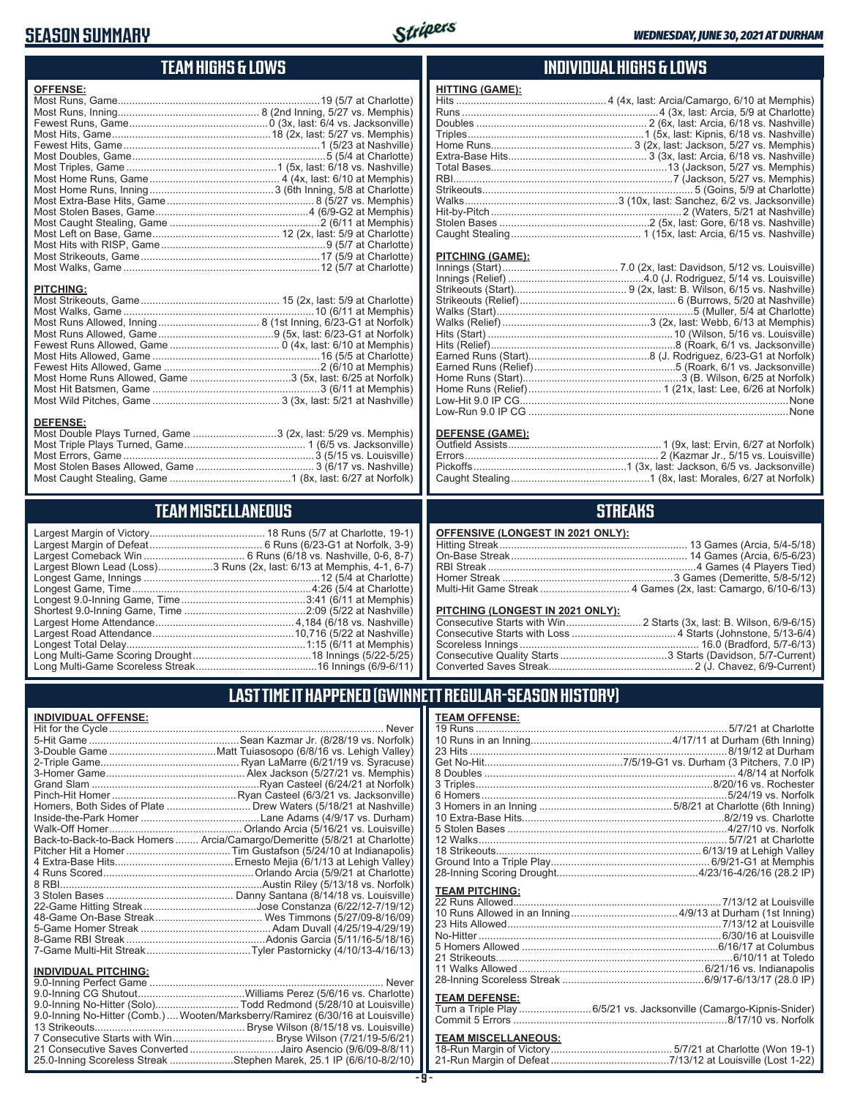#### **SEASON SUMMARY**



**HITTING (GAME):**

#### **TEAM HIGHS & LOWS**

| <b>OFFENSE:</b>                                            |  |
|------------------------------------------------------------|--|
|                                                            |  |
|                                                            |  |
|                                                            |  |
|                                                            |  |
|                                                            |  |
|                                                            |  |
|                                                            |  |
|                                                            |  |
|                                                            |  |
|                                                            |  |
|                                                            |  |
|                                                            |  |
|                                                            |  |
|                                                            |  |
|                                                            |  |
|                                                            |  |
|                                                            |  |
| <b>PITCHING:</b>                                           |  |
|                                                            |  |
|                                                            |  |
|                                                            |  |
|                                                            |  |
|                                                            |  |
|                                                            |  |
|                                                            |  |
| Most Home Runs Allowed, Game 3 (5x, last: 6/25 at Norfolk) |  |

Most Hit Batsmen, Game ..........................................................3 (6/11 at Memphis) Most Wild Pitches, Game ............................................ 3 (3x, last: 5/21 at Nashville)

Most Double Plays Turned, Game .............................3 (2x, last: 5/29 vs. Memphis) Most Triple Plays Turned, Game .......................................... 1 (6/5 vs. Jacksonville) Most Errors, Game ..................................................................3 (5/15 vs. Louisville) Most Stolen Bases Allowed, Game ......................................... 3 (6/17 vs. Nashville) Most Caught Stealing, Game ..........................................1 (8x, last: 6/27 at Norfolk)

**TEAM MISCELLANEOUS** Largest Margin of Victory........................................ 18 Runs (5/7 at Charlotte, 19-1) Largest Margin of Defeat ....................................... 6 Runs (6/23-G1 at Norfolk, 3-9) Largest Comeback Win ................................... 6 Runs (6/18 vs. Nashville, 0-6, 8-7) Largest Blown Lead (Loss)...................3 Runs (2x, last: 6/13 at Memphis, 4-1, 6-7) Longest Game, Innings .............................................................12 (5/4 at Charlotte) Longest Game, Time ..............................................................4:26 (5/4 at Charlotte) Longest 9.0-Inning Game, Time ...........................................3:41 (6/11 at Memphis) Shortest 9.0-Inning Game, Time ..........................................2:09 (5/22 at Nashville) Largest Home Attendance ................................................ 4,184 (6/18 vs. Nashville) Largest Road Attendance .................................................10,716 (5/22 at Nashville) Longest Total Delay..............................................................1:15 (6/11 at Memphis) Long Multi-Game Scoring Drought .........................................18 Innings (5/22-5/25) Long Multi-Game Scoreless Streak ..........................................16 Innings (6/9-6/11)

#### **INDIVIDUAL HIGHS & LOWS**

| PITCHING (GAME): |  |
|------------------|--|
|                  |  |
|                  |  |
|                  |  |
|                  |  |
|                  |  |
|                  |  |
|                  |  |
|                  |  |
|                  |  |
|                  |  |
|                  |  |

#### **DEFENSE (GAME):**

Home Runs (Relief).............................................. 1 (21x, last: Lee, 6/26 at Norfolk) Low-Hit 9.0 IP CG.............................................................................................None Low-Run 9.0 IP CG ..........................................................................................None

#### **STREAKS**

#### **PITCHING (LONGEST IN 2021 ONLY):**

#### **LAST TIME IT HAPPENED (GWINNETT REGULAR-SEASON HISTORY)**

#### **INDIVIDUAL OFFENSE:**

**DEFENSE:**

|                             | Back-to-Back-to-Back Homers  Arcia/Camargo/Demeritte (5/8/21 at Charlotte) |
|-----------------------------|----------------------------------------------------------------------------|
|                             |                                                                            |
|                             |                                                                            |
|                             |                                                                            |
|                             |                                                                            |
|                             |                                                                            |
|                             |                                                                            |
|                             |                                                                            |
|                             |                                                                            |
|                             |                                                                            |
|                             |                                                                            |
|                             |                                                                            |
| <b>INDIVIDUAL PITCHING:</b> |                                                                            |
|                             |                                                                            |

| 9.0-Inning No-Hitter (Comb.) Wooten/Marksberry/Ramirez (6/30/16 at Louisville) |  |
|--------------------------------------------------------------------------------|--|
|                                                                                |  |
|                                                                                |  |
| 21 Consecutive Saves Converted Jairo Asencio (9/6/09-8/8/11)                   |  |
| 25.0-Inning Scoreless Streak Stephen Marek, 25.1 IP (6/6/10-8/2/10)            |  |
|                                                                                |  |

#### **- 9 -**

| <b>TEAM OFFENSE:</b>         |                                 |
|------------------------------|---------------------------------|
|                              |                                 |
|                              |                                 |
|                              |                                 |
|                              |                                 |
|                              |                                 |
|                              |                                 |
|                              |                                 |
|                              |                                 |
|                              |                                 |
|                              |                                 |
|                              |                                 |
|                              |                                 |
|                              |                                 |
|                              |                                 |
| <b>TEAM PITCHING:</b>        |                                 |
|                              |                                 |
| 10 Runs Allowed in an Inning | $4/9/13$ at Durham (1st Inning) |

| No-Hitter …………………………………………………………………………………6/30/16 at Louisville |  |
|----------------------------------------------------------------|--|
|                                                                |  |
|                                                                |  |
|                                                                |  |
|                                                                |  |
|                                                                |  |

#### **TEAM DEFENSE:**

| Turn a Triple Play 6/5/21 vs. Jacksonville (Camargo-Kipnis-Snider) |
|--------------------------------------------------------------------|
|                                                                    |

#### **TEAM MISCELLANEOUS:**

| 21-Run Margin of Defeat…………………………………7/13/12 at Louisville (Lost 1-22) |
|-----------------------------------------------------------------------|